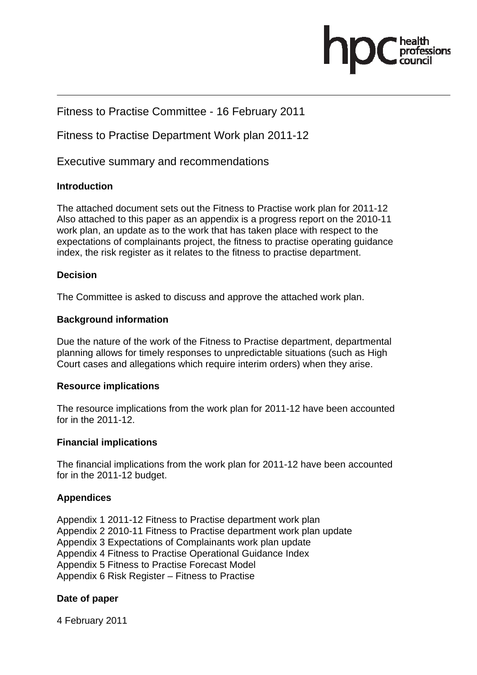

#### Fitness to Practise Committee - 16 February 2011

Fitness to Practise Department Work plan 2011-12

Executive summary and recommendations

#### **Introduction**

The attached document sets out the Fitness to Practise work plan for 2011-12 Also attached to this paper as an appendix is a progress report on the 2010-11 work plan, an update as to the work that has taken place with respect to the expectations of complainants project, the fitness to practise operating guidance index, the risk register as it relates to the fitness to practise department.

#### **Decision**

The Committee is asked to discuss and approve the attached work plan.

#### **Background information**

Due the nature of the work of the Fitness to Practise department, departmental planning allows for timely responses to unpredictable situations (such as High Court cases and allegations which require interim orders) when they arise.

#### **Resource implications**

The resource implications from the work plan for 2011-12 have been accounted for in the 2011-12.

#### **Financial implications**

The financial implications from the work plan for 2011-12 have been accounted for in the 2011-12 budget.

#### **Appendices**

Appendix 1 2011-12 Fitness to Practise department work plan Appendix 2 2010-11 Fitness to Practise department work plan update Appendix 3 Expectations of Complainants work plan update Appendix 4 Fitness to Practise Operational Guidance Index Appendix 5 Fitness to Practise Forecast Model Appendix 6 Risk Register – Fitness to Practise

#### **Date of paper**

4 February 2011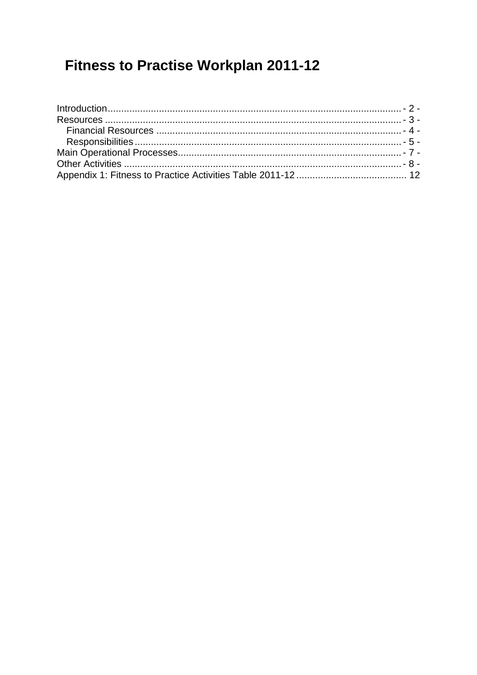# **Fitness to Practise Workplan 2011-12**

| $Introduction 2 -$ |  |
|--------------------|--|
|                    |  |
|                    |  |
|                    |  |
|                    |  |
|                    |  |
|                    |  |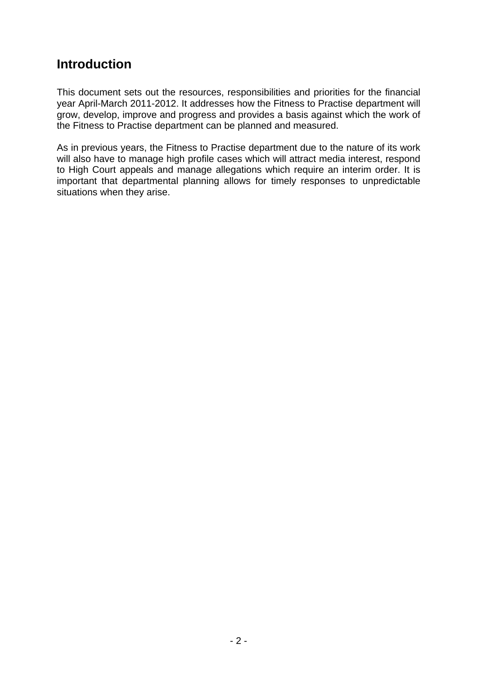### **Introduction**

This document sets out the resources, responsibilities and priorities for the financial year April-March 2011-2012. It addresses how the Fitness to Practise department will grow, develop, improve and progress and provides a basis against which the work of the Fitness to Practise department can be planned and measured.

As in previous years, the Fitness to Practise department due to the nature of its work will also have to manage high profile cases which will attract media interest, respond to High Court appeals and manage allegations which require an interim order. It is important that departmental planning allows for timely responses to unpredictable situations when they arise.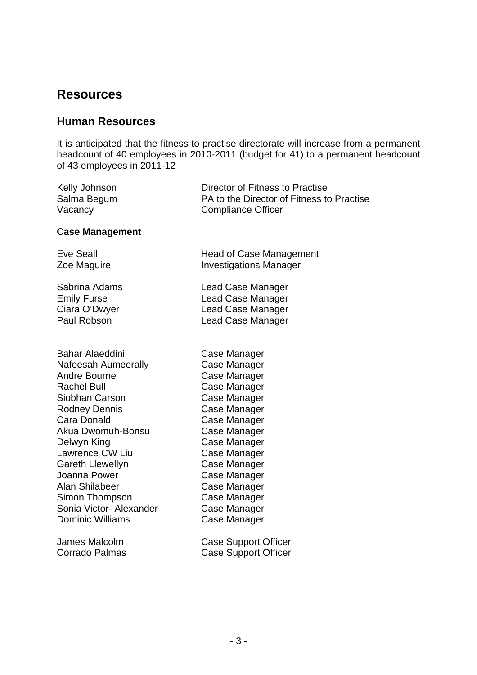### **Resources**

#### **Human Resources**

It is anticipated that the fitness to practise directorate will increase from a permanent headcount of 40 employees in 2010-2011 (budget for 41) to a permanent headcount of 43 employees in 2011-12

| Kelly Johnson | Director of Fitness to Practise           |
|---------------|-------------------------------------------|
| Salma Begum   | PA to the Director of Fitness to Practise |
| Vacancy       | <b>Compliance Officer</b>                 |

#### **Case Management**

Eve Seall **Head of Case Management** Zoe Maguire **Investigations Manager** 

Sabrina Adams Lead Case Manager Emily Furse Lead Case Manager Ciara O'Dwyer Lead Case Manager Paul Robson Lead Case Manager

Bahar Alaeddini Case Manager Nafeesah Aumeerally Case Manager Andre Bourne **Case Manager** Rachel Bull **Case Manager** Siobhan Carson Case Manager Rodney Dennis Case Manager Cara Donald Case Manager Akua Dwomuh-Bonsu Case Manager Delwyn King **Case Manager** Lawrence CW Liu Case Manager Gareth Llewellyn Case Manager Joanna Power Case Manager Alan Shilabeer Case Manager Simon Thompson Case Manager Sonia Victor- Alexander Case Manager Dominic Williams Case Manager

James Malcolm Corrado Palmas

|  | Case Support Officer |
|--|----------------------|
|  | Case Support Officer |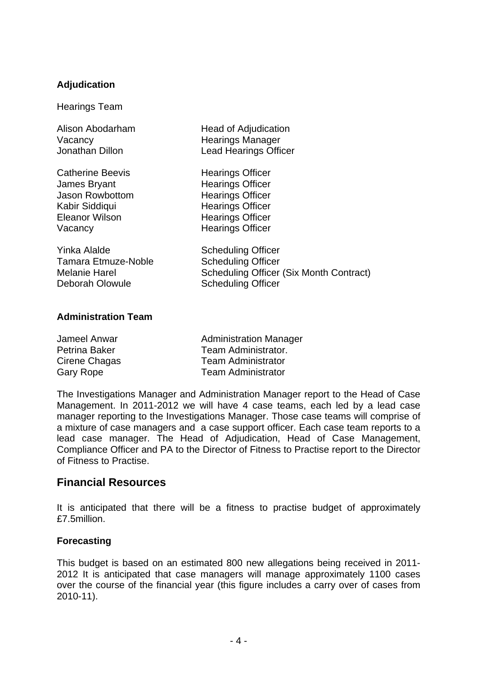#### **Adjudication**

Hearings Team

Alison Abodarham Head of Adjudication Vacancy **Manager** Hearings Manager Jonathan Dillon Lead Hearings Officer Catherine Beevis **Hearings** Officer James Bryant **Hearings Officer** Jason Rowbottom Hearings Officer Kabir Siddiqui **Hearings Officer** Eleanor Wilson Hearings Officer Vacancy **Hearings Officer** Yinka Alalde Scheduling Officer Tamara Etmuze-Noble Scheduling Officer Melanie Harel Scheduling Officer (Six Month Contract) Deborah Olowule Scheduling Officer

#### **Administration Team**

| Jameel Anwar     | <b>Administration Manager</b> |
|------------------|-------------------------------|
| Petrina Baker    | Team Administrator.           |
| Cirene Chagas    | <b>Team Administrator</b>     |
| <b>Gary Rope</b> | <b>Team Administrator</b>     |

The Investigations Manager and Administration Manager report to the Head of Case Management. In 2011-2012 we will have 4 case teams, each led by a lead case manager reporting to the Investigations Manager. Those case teams will comprise of a mixture of case managers and a case support officer. Each case team reports to a lead case manager. The Head of Adjudication, Head of Case Management, Compliance Officer and PA to the Director of Fitness to Practise report to the Director of Fitness to Practise.

#### **Financial Resources**

It is anticipated that there will be a fitness to practise budget of approximately £7.5million.

#### **Forecasting**

This budget is based on an estimated 800 new allegations being received in 2011- 2012 It is anticipated that case managers will manage approximately 1100 cases over the course of the financial year (this figure includes a carry over of cases from 2010-11).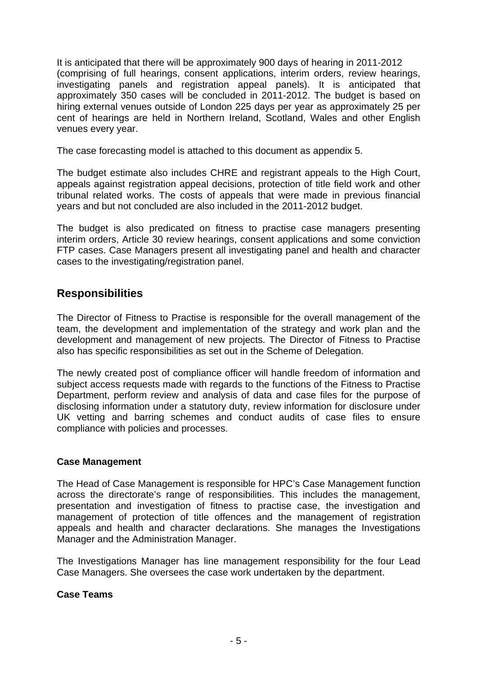It is anticipated that there will be approximately 900 days of hearing in 2011-2012 (comprising of full hearings, consent applications, interim orders, review hearings, investigating panels and registration appeal panels). It is anticipated that approximately 350 cases will be concluded in 2011-2012. The budget is based on hiring external venues outside of London 225 days per year as approximately 25 per cent of hearings are held in Northern Ireland, Scotland, Wales and other English venues every year.

The case forecasting model is attached to this document as appendix 5.

The budget estimate also includes CHRE and registrant appeals to the High Court, appeals against registration appeal decisions, protection of title field work and other tribunal related works. The costs of appeals that were made in previous financial years and but not concluded are also included in the 2011-2012 budget.

The budget is also predicated on fitness to practise case managers presenting interim orders, Article 30 review hearings, consent applications and some conviction FTP cases. Case Managers present all investigating panel and health and character cases to the investigating/registration panel.

### **Responsibilities**

The Director of Fitness to Practise is responsible for the overall management of the team, the development and implementation of the strategy and work plan and the development and management of new projects. The Director of Fitness to Practise also has specific responsibilities as set out in the Scheme of Delegation.

The newly created post of compliance officer will handle freedom of information and subject access requests made with regards to the functions of the Fitness to Practise Department, perform review and analysis of data and case files for the purpose of disclosing information under a statutory duty, review information for disclosure under UK vetting and barring schemes and conduct audits of case files to ensure compliance with policies and processes.

#### **Case Management**

The Head of Case Management is responsible for HPC's Case Management function across the directorate's range of responsibilities. This includes the management, presentation and investigation of fitness to practise case, the investigation and management of protection of title offences and the management of registration appeals and health and character declarations. She manages the Investigations Manager and the Administration Manager.

The Investigations Manager has line management responsibility for the four Lead Case Managers. She oversees the case work undertaken by the department.

#### **Case Teams**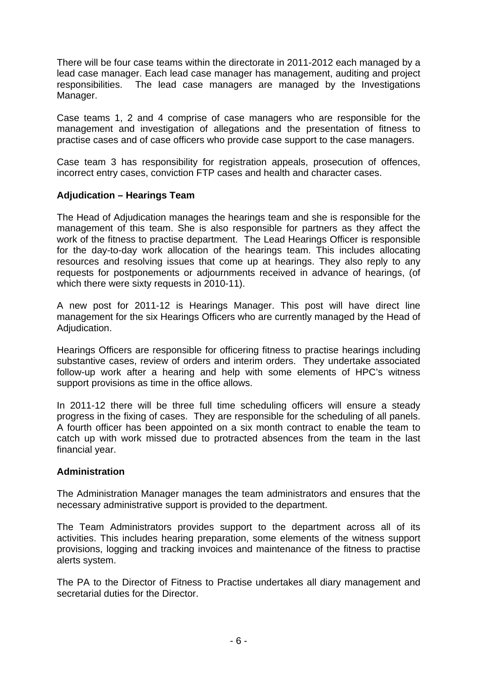There will be four case teams within the directorate in 2011-2012 each managed by a lead case manager. Each lead case manager has management, auditing and project responsibilities. The lead case managers are managed by the Investigations Manager.

Case teams 1, 2 and 4 comprise of case managers who are responsible for the management and investigation of allegations and the presentation of fitness to practise cases and of case officers who provide case support to the case managers.

Case team 3 has responsibility for registration appeals, prosecution of offences, incorrect entry cases, conviction FTP cases and health and character cases.

#### **Adjudication – Hearings Team**

The Head of Adjudication manages the hearings team and she is responsible for the management of this team. She is also responsible for partners as they affect the work of the fitness to practise department. The Lead Hearings Officer is responsible for the day-to-day work allocation of the hearings team. This includes allocating resources and resolving issues that come up at hearings. They also reply to any requests for postponements or adjournments received in advance of hearings, (of which there were sixty requests in 2010-11).

A new post for 2011-12 is Hearings Manager. This post will have direct line management for the six Hearings Officers who are currently managed by the Head of Adjudication.

Hearings Officers are responsible for officering fitness to practise hearings including substantive cases, review of orders and interim orders. They undertake associated follow-up work after a hearing and help with some elements of HPC's witness support provisions as time in the office allows.

In 2011-12 there will be three full time scheduling officers will ensure a steady progress in the fixing of cases. They are responsible for the scheduling of all panels. A fourth officer has been appointed on a six month contract to enable the team to catch up with work missed due to protracted absences from the team in the last financial year.

#### **Administration**

The Administration Manager manages the team administrators and ensures that the necessary administrative support is provided to the department.

The Team Administrators provides support to the department across all of its activities. This includes hearing preparation, some elements of the witness support provisions, logging and tracking invoices and maintenance of the fitness to practise alerts system.

The PA to the Director of Fitness to Practise undertakes all diary management and secretarial duties for the Director.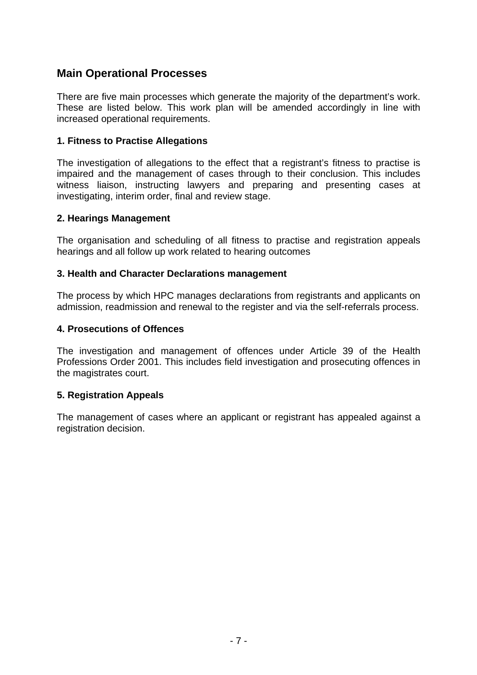#### **Main Operational Processes**

There are five main processes which generate the majority of the department's work. These are listed below. This work plan will be amended accordingly in line with increased operational requirements.

#### **1. Fitness to Practise Allegations**

The investigation of allegations to the effect that a registrant's fitness to practise is impaired and the management of cases through to their conclusion. This includes witness liaison, instructing lawyers and preparing and presenting cases at investigating, interim order, final and review stage.

#### **2. Hearings Management**

The organisation and scheduling of all fitness to practise and registration appeals hearings and all follow up work related to hearing outcomes

#### **3. Health and Character Declarations management**

The process by which HPC manages declarations from registrants and applicants on admission, readmission and renewal to the register and via the self-referrals process.

#### **4. Prosecutions of Offences**

The investigation and management of offences under Article 39 of the Health Professions Order 2001. This includes field investigation and prosecuting offences in the magistrates court.

#### **5. Registration Appeals**

The management of cases where an applicant or registrant has appealed against a registration decision.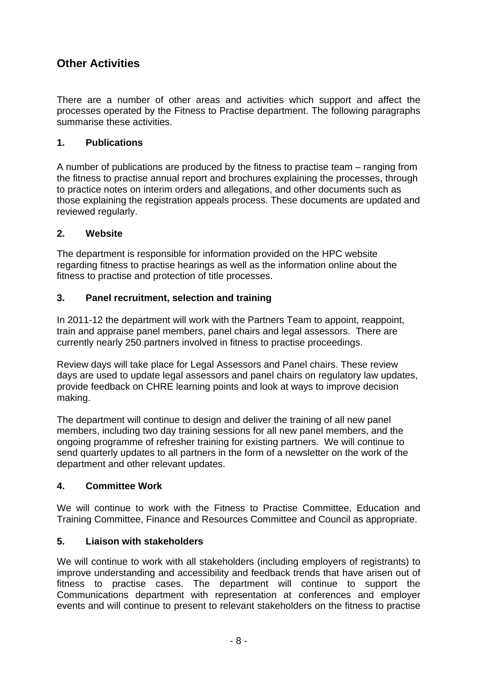### **Other Activities**

There are a number of other areas and activities which support and affect the processes operated by the Fitness to Practise department. The following paragraphs summarise these activities.

#### **1. Publications**

A number of publications are produced by the fitness to practise team – ranging from the fitness to practise annual report and brochures explaining the processes, through to practice notes on interim orders and allegations, and other documents such as those explaining the registration appeals process. These documents are updated and reviewed regularly.

#### **2. Website**

The department is responsible for information provided on the HPC website regarding fitness to practise hearings as well as the information online about the fitness to practise and protection of title processes.

#### **3. Panel recruitment, selection and training**

In 2011-12 the department will work with the Partners Team to appoint, reappoint, train and appraise panel members, panel chairs and legal assessors. There are currently nearly 250 partners involved in fitness to practise proceedings.

Review days will take place for Legal Assessors and Panel chairs. These review days are used to update legal assessors and panel chairs on regulatory law updates, provide feedback on CHRE learning points and look at ways to improve decision making.

The department will continue to design and deliver the training of all new panel members, including two day training sessions for all new panel members, and the ongoing programme of refresher training for existing partners. We will continue to send quarterly updates to all partners in the form of a newsletter on the work of the department and other relevant updates.

#### **4. Committee Work**

We will continue to work with the Fitness to Practise Committee, Education and Training Committee, Finance and Resources Committee and Council as appropriate.

#### **5. Liaison with stakeholders**

We will continue to work with all stakeholders (including employers of registrants) to improve understanding and accessibility and feedback trends that have arisen out of fitness to practise cases. The department will continue to support the Communications department with representation at conferences and employer events and will continue to present to relevant stakeholders on the fitness to practise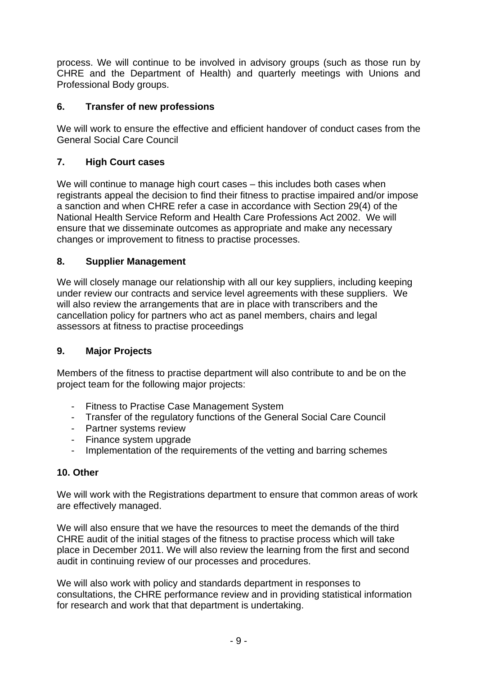process. We will continue to be involved in advisory groups (such as those run by CHRE and the Department of Health) and quarterly meetings with Unions and Professional Body groups.

#### **6. Transfer of new professions**

We will work to ensure the effective and efficient handover of conduct cases from the General Social Care Council

#### **7. High Court cases**

We will continue to manage high court cases – this includes both cases when registrants appeal the decision to find their fitness to practise impaired and/or impose a sanction and when CHRE refer a case in accordance with Section 29(4) of the National Health Service Reform and Health Care Professions Act 2002. We will ensure that we disseminate outcomes as appropriate and make any necessary changes or improvement to fitness to practise processes.

#### **8. Supplier Management**

We will closely manage our relationship with all our key suppliers, including keeping under review our contracts and service level agreements with these suppliers. We will also review the arrangements that are in place with transcribers and the cancellation policy for partners who act as panel members, chairs and legal assessors at fitness to practise proceedings

#### **9. Major Projects**

Members of the fitness to practise department will also contribute to and be on the project team for the following major projects:

- Fitness to Practise Case Management System
- Transfer of the regulatory functions of the General Social Care Council
- Partner systems review
- Finance system upgrade
- Implementation of the requirements of the vetting and barring schemes

#### **10. Other**

We will work with the Registrations department to ensure that common areas of work are effectively managed.

We will also ensure that we have the resources to meet the demands of the third CHRE audit of the initial stages of the fitness to practise process which will take place in December 2011. We will also review the learning from the first and second audit in continuing review of our processes and procedures.

We will also work with policy and standards department in responses to consultations, the CHRE performance review and in providing statistical information for research and work that that department is undertaking.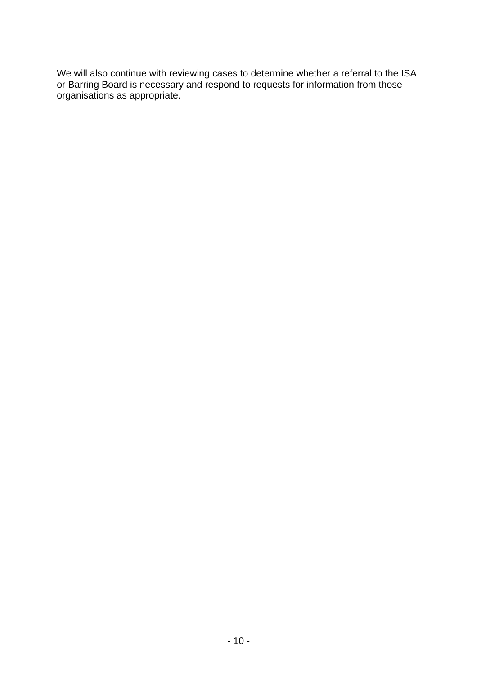We will also continue with reviewing cases to determine whether a referral to the ISA or Barring Board is necessary and respond to requests for information from those organisations as appropriate.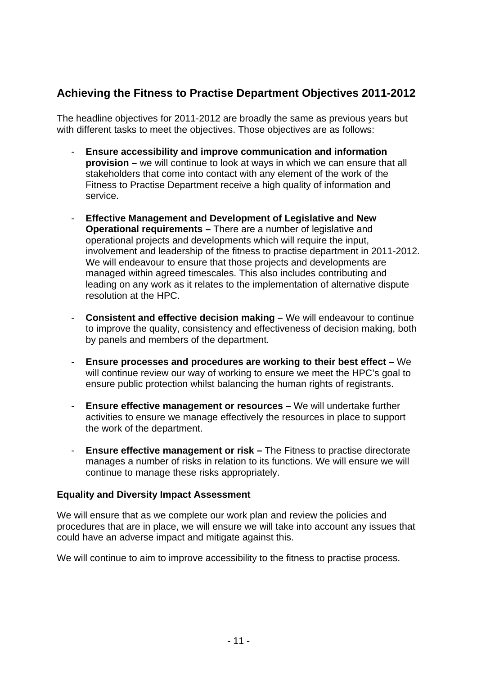### **Achieving the Fitness to Practise Department Objectives 2011-2012**

The headline objectives for 2011-2012 are broadly the same as previous years but with different tasks to meet the objectives. Those objectives are as follows:

- **Ensure accessibility and improve communication and information provision –** we will continue to look at ways in which we can ensure that all stakeholders that come into contact with any element of the work of the Fitness to Practise Department receive a high quality of information and service.
- **Effective Management and Development of Legislative and New Operational requirements –** There are a number of legislative and operational projects and developments which will require the input, involvement and leadership of the fitness to practise department in 2011-2012. We will endeavour to ensure that those projects and developments are managed within agreed timescales. This also includes contributing and leading on any work as it relates to the implementation of alternative dispute resolution at the HPC.
- **Consistent and effective decision making –** We will endeavour to continue to improve the quality, consistency and effectiveness of decision making, both by panels and members of the department.
- **Ensure processes and procedures are working to their best effect –** We will continue review our way of working to ensure we meet the HPC's goal to ensure public protection whilst balancing the human rights of registrants.
- **Ensure effective management or resources –** We will undertake further activities to ensure we manage effectively the resources in place to support the work of the department.
- **Ensure effective management or risk –** The Fitness to practise directorate manages a number of risks in relation to its functions. We will ensure we will continue to manage these risks appropriately.

#### **Equality and Diversity Impact Assessment**

We will ensure that as we complete our work plan and review the policies and procedures that are in place, we will ensure we will take into account any issues that could have an adverse impact and mitigate against this.

We will continue to aim to improve accessibility to the fitness to practise process.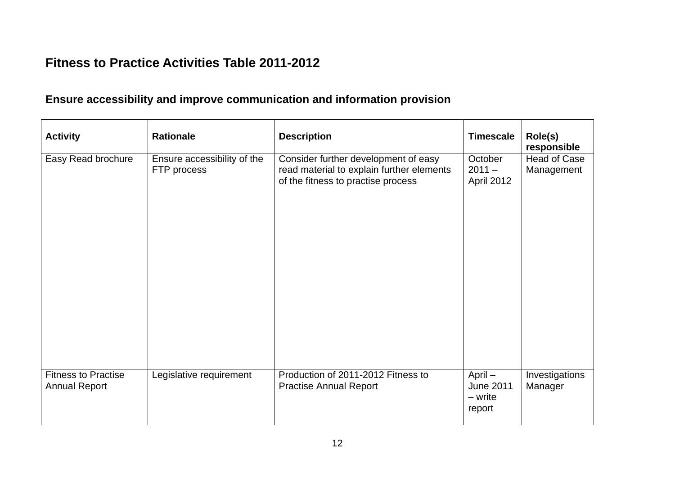### **Fitness to Practice Activities Table 2011-2012**

### **Ensure accessibility and improve communication and information provision**

| <b>Activity</b>                                    | <b>Rationale</b>                           | <b>Description</b>                                                                                                      | <b>Timescale</b>                                   | Role(s)<br>responsible     |
|----------------------------------------------------|--------------------------------------------|-------------------------------------------------------------------------------------------------------------------------|----------------------------------------------------|----------------------------|
| Easy Read brochure                                 | Ensure accessibility of the<br>FTP process | Consider further development of easy<br>read material to explain further elements<br>of the fitness to practise process | October<br>$2011 -$<br>April 2012                  | Head of Case<br>Management |
| <b>Fitness to Practise</b><br><b>Annual Report</b> | Legislative requirement                    | Production of 2011-2012 Fitness to<br><b>Practise Annual Report</b>                                                     | $April -$<br><b>June 2011</b><br>- write<br>report | Investigations<br>Manager  |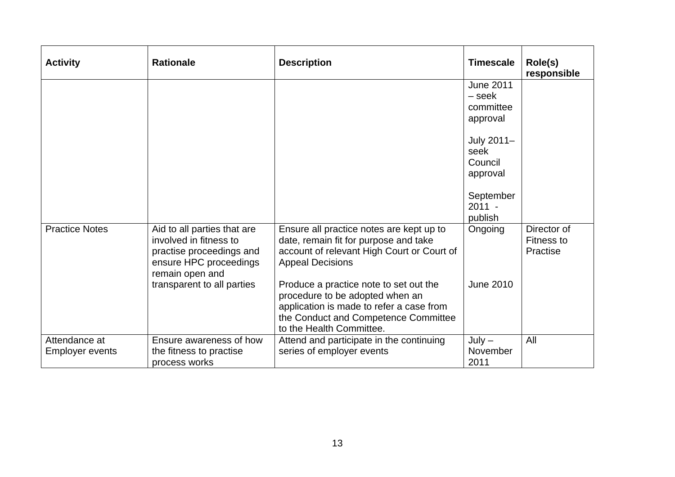| <b>Activity</b>                  | <b>Rationale</b>                                                                                                               | <b>Description</b>                                                                                                                                                                        | <b>Timescale</b>                                    | Role(s)<br>responsible                       |
|----------------------------------|--------------------------------------------------------------------------------------------------------------------------------|-------------------------------------------------------------------------------------------------------------------------------------------------------------------------------------------|-----------------------------------------------------|----------------------------------------------|
|                                  |                                                                                                                                |                                                                                                                                                                                           | <b>June 2011</b><br>– seek<br>committee<br>approval |                                              |
|                                  |                                                                                                                                |                                                                                                                                                                                           | July 2011-<br>seek<br>Council<br>approval           |                                              |
|                                  |                                                                                                                                |                                                                                                                                                                                           | September<br>$2011 -$<br>publish                    |                                              |
| <b>Practice Notes</b>            | Aid to all parties that are<br>involved in fitness to<br>practise proceedings and<br>ensure HPC proceedings<br>remain open and | Ensure all practice notes are kept up to<br>date, remain fit for purpose and take<br>account of relevant High Court or Court of<br><b>Appeal Decisions</b>                                | Ongoing                                             | Director of<br><b>Fitness to</b><br>Practise |
|                                  | transparent to all parties                                                                                                     | Produce a practice note to set out the<br>procedure to be adopted when an<br>application is made to refer a case from<br>the Conduct and Competence Committee<br>to the Health Committee. | <b>June 2010</b>                                    |                                              |
| Attendance at<br>Employer events | Ensure awareness of how<br>the fitness to practise<br>process works                                                            | Attend and participate in the continuing<br>series of employer events                                                                                                                     | $July -$<br>November<br>2011                        | All                                          |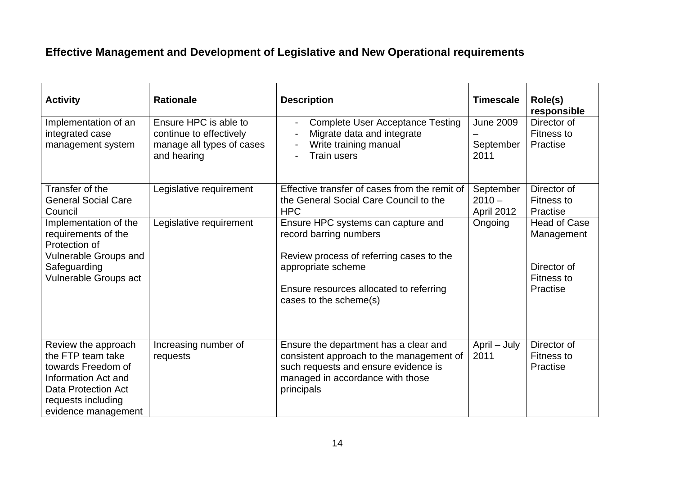### **Effective Management and Development of Legislative and New Operational requirements**

| <b>Activity</b>                                                                                                                                                  | <b>Rationale</b>                                                                             | <b>Description</b>                                                                                                                                                                                  | <b>Timescale</b>                      | Role(s)<br>responsible                                                            |
|------------------------------------------------------------------------------------------------------------------------------------------------------------------|----------------------------------------------------------------------------------------------|-----------------------------------------------------------------------------------------------------------------------------------------------------------------------------------------------------|---------------------------------------|-----------------------------------------------------------------------------------|
| Implementation of an<br>integrated case<br>management system                                                                                                     | Ensure HPC is able to<br>continue to effectively<br>manage all types of cases<br>and hearing | <b>Complete User Acceptance Testing</b><br>$\blacksquare$<br>Migrate data and integrate<br>Write training manual<br><b>Train users</b><br>$\blacksquare$                                            | <b>June 2009</b><br>September<br>2011 | Director of<br>Fitness to<br>Practise                                             |
| Transfer of the<br><b>General Social Care</b><br>Council                                                                                                         | Legislative requirement                                                                      | Effective transfer of cases from the remit of<br>the General Social Care Council to the<br><b>HPC</b>                                                                                               | September<br>$2010 -$<br>April 2012   | Director of<br>Fitness to<br>Practise                                             |
| Implementation of the<br>requirements of the<br>Protection of<br>Vulnerable Groups and<br>Safeguarding<br>Vulnerable Groups act                                  | Legislative requirement                                                                      | Ensure HPC systems can capture and<br>record barring numbers<br>Review process of referring cases to the<br>appropriate scheme<br>Ensure resources allocated to referring<br>cases to the scheme(s) | Ongoing                               | <b>Head of Case</b><br>Management<br>Director of<br><b>Fitness to</b><br>Practise |
| Review the approach<br>the FTP team take<br>towards Freedom of<br>Information Act and<br><b>Data Protection Act</b><br>requests including<br>evidence management | Increasing number of<br>requests                                                             | Ensure the department has a clear and<br>consistent approach to the management of<br>such requests and ensure evidence is<br>managed in accordance with those<br>principals                         | April - July<br>2011                  | Director of<br>Fitness to<br>Practise                                             |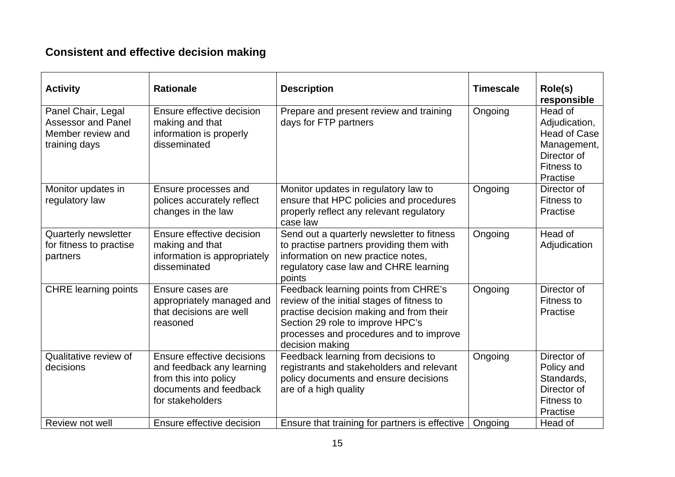### **Consistent and effective decision making**

| <b>Activity</b>                                                                       | <b>Rationale</b>                                                                                                               | <b>Description</b>                                                                                                                                                                                                              | <b>Timescale</b> | Role(s)<br>responsible                                                                                  |
|---------------------------------------------------------------------------------------|--------------------------------------------------------------------------------------------------------------------------------|---------------------------------------------------------------------------------------------------------------------------------------------------------------------------------------------------------------------------------|------------------|---------------------------------------------------------------------------------------------------------|
| Panel Chair, Legal<br><b>Assessor and Panel</b><br>Member review and<br>training days | Ensure effective decision<br>making and that<br>information is properly<br>disseminated                                        | Prepare and present review and training<br>days for FTP partners                                                                                                                                                                | Ongoing          | Head of<br>Adjudication,<br><b>Head of Case</b><br>Management,<br>Director of<br>Fitness to<br>Practise |
| Monitor updates in<br>regulatory law                                                  | Ensure processes and<br>polices accurately reflect<br>changes in the law                                                       | Monitor updates in regulatory law to<br>ensure that HPC policies and procedures<br>properly reflect any relevant regulatory<br>case law                                                                                         | Ongoing          | Director of<br><b>Fitness to</b><br>Practise                                                            |
| Quarterly newsletter<br>for fitness to practise<br>partners                           | Ensure effective decision<br>making and that<br>information is appropriately<br>disseminated                                   | Send out a quarterly newsletter to fitness<br>to practise partners providing them with<br>information on new practice notes,<br>regulatory case law and CHRE learning<br>points                                                 | Ongoing          | Head of<br>Adjudication                                                                                 |
| <b>CHRE</b> learning points                                                           | Ensure cases are<br>appropriately managed and<br>that decisions are well<br>reasoned                                           | Feedback learning points from CHRE's<br>review of the initial stages of fitness to<br>practise decision making and from their<br>Section 29 role to improve HPC's<br>processes and procedures and to improve<br>decision making | Ongoing          | Director of<br>Fitness to<br>Practise                                                                   |
| Qualitative review of<br>decisions                                                    | Ensure effective decisions<br>and feedback any learning<br>from this into policy<br>documents and feedback<br>for stakeholders | Feedback learning from decisions to<br>registrants and stakeholders and relevant<br>policy documents and ensure decisions<br>are of a high quality                                                                              | Ongoing          | Director of<br>Policy and<br>Standards,<br>Director of<br>Fitness to<br>Practise                        |
| Review not well                                                                       | Ensure effective decision                                                                                                      | Ensure that training for partners is effective                                                                                                                                                                                  | Ongoing          | Head of                                                                                                 |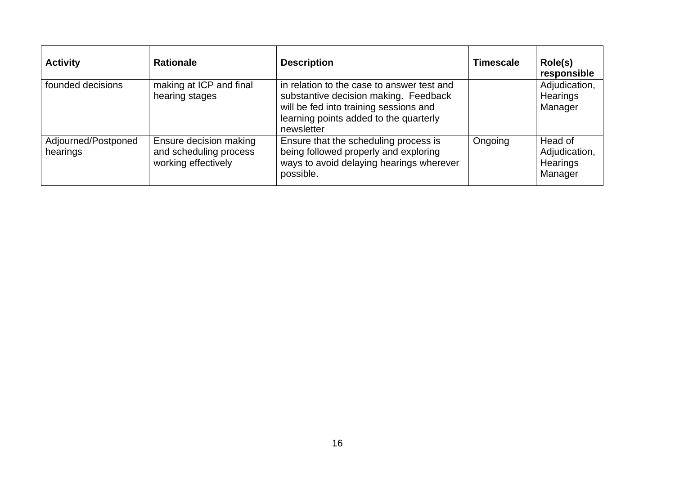| <b>Activity</b>                 | <b>Rationale</b>                                                        | <b>Description</b>                                                                                                                                                                    | <b>Timescale</b> | Role(s)<br>responsible                                 |
|---------------------------------|-------------------------------------------------------------------------|---------------------------------------------------------------------------------------------------------------------------------------------------------------------------------------|------------------|--------------------------------------------------------|
| founded decisions               | making at ICP and final<br>hearing stages                               | in relation to the case to answer test and<br>substantive decision making. Feedback<br>will be fed into training sessions and<br>learning points added to the quarterly<br>newsletter |                  | Adjudication,<br><b>Hearings</b><br>Manager            |
| Adjourned/Postponed<br>hearings | Ensure decision making<br>and scheduling process<br>working effectively | Ensure that the scheduling process is<br>being followed properly and exploring<br>ways to avoid delaying hearings wherever<br>possible.                                               | Ongoing          | Head of<br>Adjudication,<br><b>Hearings</b><br>Manager |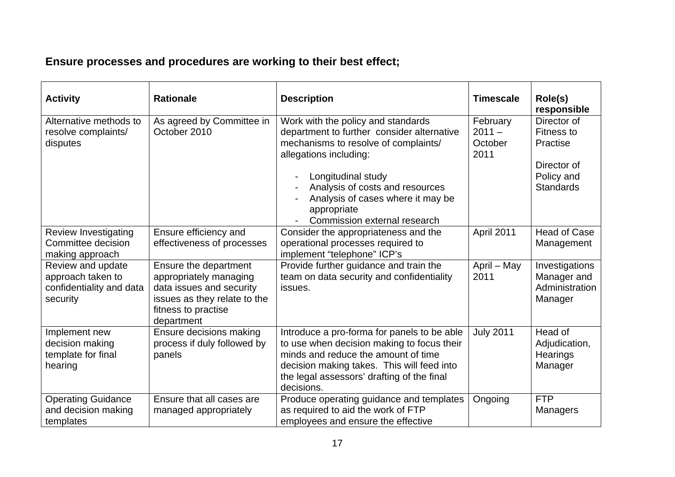## **Ensure processes and procedures are working to their best effect;**

| <b>Activity</b>                                                                | <b>Rationale</b>                                                                                                                                 | <b>Description</b>                                                                                                                                                                                                                                                                              | <b>Timescale</b>                        | Role(s)<br>responsible                                                                        |
|--------------------------------------------------------------------------------|--------------------------------------------------------------------------------------------------------------------------------------------------|-------------------------------------------------------------------------------------------------------------------------------------------------------------------------------------------------------------------------------------------------------------------------------------------------|-----------------------------------------|-----------------------------------------------------------------------------------------------|
| Alternative methods to<br>resolve complaints/<br>disputes                      | As agreed by Committee in<br>October 2010                                                                                                        | Work with the policy and standards<br>department to further consider alternative<br>mechanisms to resolve of complaints/<br>allegations including:<br>Longitudinal study<br>Analysis of costs and resources<br>Analysis of cases where it may be<br>appropriate<br>Commission external research | February<br>$2011 -$<br>October<br>2011 | Director of<br><b>Fitness to</b><br>Practise<br>Director of<br>Policy and<br><b>Standards</b> |
| <b>Review Investigating</b><br>Committee decision<br>making approach           | Ensure efficiency and<br>effectiveness of processes                                                                                              | Consider the appropriateness and the<br>operational processes required to<br>implement "telephone" ICP's                                                                                                                                                                                        | April 2011                              | <b>Head of Case</b><br>Management                                                             |
| Review and update<br>approach taken to<br>confidentiality and data<br>security | Ensure the department<br>appropriately managing<br>data issues and security<br>issues as they relate to the<br>fitness to practise<br>department | Provide further guidance and train the<br>team on data security and confidentiality<br>issues.                                                                                                                                                                                                  | April - May<br>2011                     | Investigations<br>Manager and<br>Administration<br>Manager                                    |
| Implement new<br>decision making<br>template for final<br>hearing              | Ensure decisions making<br>process if duly followed by<br>panels                                                                                 | Introduce a pro-forma for panels to be able<br>to use when decision making to focus their<br>minds and reduce the amount of time<br>decision making takes. This will feed into<br>the legal assessors' drafting of the final<br>decisions.                                                      | <b>July 2011</b>                        | Head of<br>Adjudication,<br>Hearings<br>Manager                                               |
| <b>Operating Guidance</b><br>and decision making<br>templates                  | Ensure that all cases are<br>managed appropriately                                                                                               | Produce operating guidance and templates<br>as required to aid the work of FTP<br>employees and ensure the effective                                                                                                                                                                            | Ongoing                                 | <b>FTP</b><br>Managers                                                                        |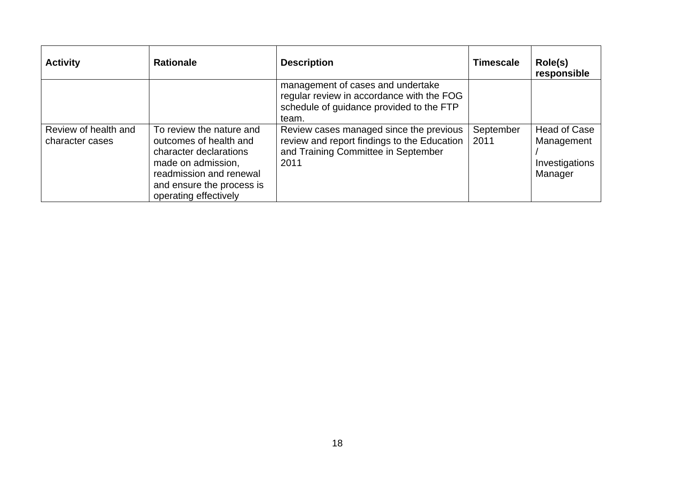| <b>Activity</b>                         | <b>Rationale</b>                                                                                                                                                                    | <b>Description</b>                                                                                                                    | <b>Timescale</b>  | Role(s)<br>responsible                                         |
|-----------------------------------------|-------------------------------------------------------------------------------------------------------------------------------------------------------------------------------------|---------------------------------------------------------------------------------------------------------------------------------------|-------------------|----------------------------------------------------------------|
|                                         |                                                                                                                                                                                     | management of cases and undertake<br>regular review in accordance with the FOG<br>schedule of guidance provided to the FTP<br>team.   |                   |                                                                |
| Review of health and<br>character cases | To review the nature and<br>outcomes of health and<br>character declarations<br>made on admission,<br>readmission and renewal<br>and ensure the process is<br>operating effectively | Review cases managed since the previous<br>review and report findings to the Education<br>and Training Committee in September<br>2011 | September<br>2011 | <b>Head of Case</b><br>Management<br>Investigations<br>Manager |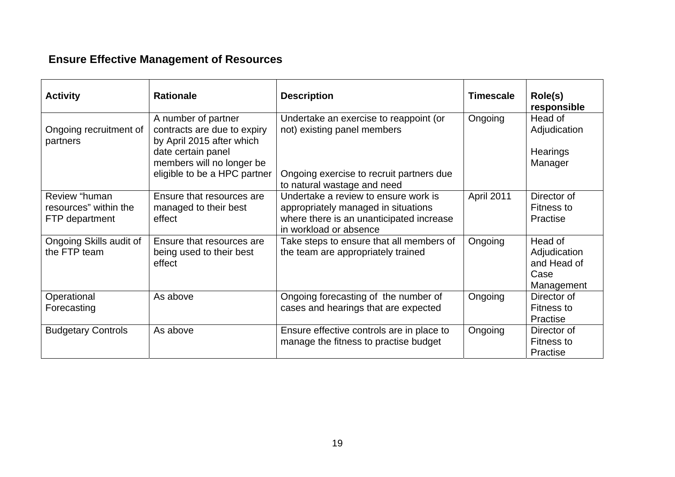## **Ensure Effective Management of Resources**

| <b>Activity</b>                                          | <b>Rationale</b>                                                                                                                                                   | <b>Description</b>                                                                                                                                | <b>Timescale</b> | Role(s)<br>responsible                                       |
|----------------------------------------------------------|--------------------------------------------------------------------------------------------------------------------------------------------------------------------|---------------------------------------------------------------------------------------------------------------------------------------------------|------------------|--------------------------------------------------------------|
| Ongoing recruitment of<br>partners                       | A number of partner<br>contracts are due to expiry<br>by April 2015 after which<br>date certain panel<br>members will no longer be<br>eligible to be a HPC partner | Undertake an exercise to reappoint (or<br>not) existing panel members<br>Ongoing exercise to recruit partners due<br>to natural wastage and need  | Ongoing          | Head of<br>Adjudication<br><b>Hearings</b><br>Manager        |
| Review "human<br>resources" within the<br>FTP department | Ensure that resources are<br>managed to their best<br>effect                                                                                                       | Undertake a review to ensure work is<br>appropriately managed in situations<br>where there is an unanticipated increase<br>in workload or absence | April 2011       | Director of<br>Fitness to<br>Practise                        |
| Ongoing Skills audit of<br>the FTP team                  | Ensure that resources are<br>being used to their best<br>effect                                                                                                    | Take steps to ensure that all members of<br>the team are appropriately trained                                                                    | Ongoing          | Head of<br>Adjudication<br>and Head of<br>Case<br>Management |
| Operational<br>Forecasting                               | As above                                                                                                                                                           | Ongoing forecasting of the number of<br>cases and hearings that are expected                                                                      | Ongoing          | Director of<br>Fitness to<br>Practise                        |
| <b>Budgetary Controls</b>                                | As above                                                                                                                                                           | Ensure effective controls are in place to<br>manage the fitness to practise budget                                                                | Ongoing          | Director of<br>Fitness to<br>Practise                        |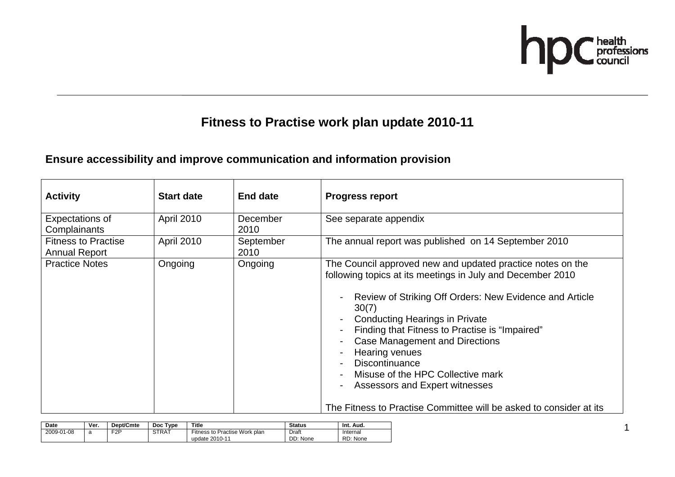

1

### **Fitness to Practise work plan update 2010-11**

### **Ensure accessibility and improve communication and information provision**

| <b>Activity</b>                                    | <b>Start date</b> | <b>End date</b>   | <b>Progress report</b>                                                                                                                                                                                                                                                                                                                                                                                                                                                                                                   |
|----------------------------------------------------|-------------------|-------------------|--------------------------------------------------------------------------------------------------------------------------------------------------------------------------------------------------------------------------------------------------------------------------------------------------------------------------------------------------------------------------------------------------------------------------------------------------------------------------------------------------------------------------|
| Expectations of<br>Complainants                    | April 2010        | December<br>2010  | See separate appendix                                                                                                                                                                                                                                                                                                                                                                                                                                                                                                    |
| <b>Fitness to Practise</b><br><b>Annual Report</b> | April 2010        | September<br>2010 | The annual report was published on 14 September 2010                                                                                                                                                                                                                                                                                                                                                                                                                                                                     |
| <b>Practice Notes</b>                              | Ongoing           | Ongoing           | The Council approved new and updated practice notes on the<br>following topics at its meetings in July and December 2010<br>Review of Striking Off Orders: New Evidence and Article<br>30(7)<br><b>Conducting Hearings in Private</b><br>Finding that Fitness to Practise is "Impaired"<br>Case Management and Directions<br><b>Hearing venues</b><br><b>Discontinuance</b><br>Misuse of the HPC Collective mark<br>Assessors and Expert witnesses<br>The Fitness to Practise Committee will be asked to consider at its |

| Date       | Ver. | <b>Dept/Cmte</b> | Doc Type     | Title                                           | <b>Status</b>     | Int. Aud.            |
|------------|------|------------------|--------------|-------------------------------------------------|-------------------|----------------------|
| 2009-01-08 | a    | ⊏2P              | <b>STRAT</b> | Fitness to Practise Work plan<br>update 2010-11 | Draft<br>DD: None | Internal<br>RD: None |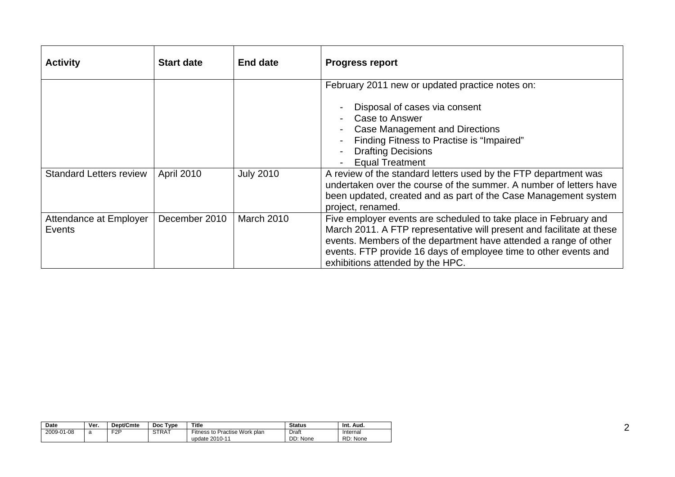| <b>Activity</b>                  | <b>Start date</b> | <b>End date</b>   | <b>Progress report</b>                                                                                                                                                                                                                                                                                                |
|----------------------------------|-------------------|-------------------|-----------------------------------------------------------------------------------------------------------------------------------------------------------------------------------------------------------------------------------------------------------------------------------------------------------------------|
|                                  |                   |                   | February 2011 new or updated practice notes on:<br>Disposal of cases via consent<br>Case to Answer<br>Case Management and Directions<br>Finding Fitness to Practise is "Impaired"<br><b>Drafting Decisions</b><br><b>Equal Treatment</b>                                                                              |
| <b>Standard Letters review</b>   | April 2010        | <b>July 2010</b>  | A review of the standard letters used by the FTP department was<br>undertaken over the course of the summer. A number of letters have<br>been updated, created and as part of the Case Management system<br>project, renamed.                                                                                         |
| Attendance at Employer<br>Events | December 2010     | <b>March 2010</b> | Five employer events are scheduled to take place in February and<br>March 2011. A FTP representative will present and facilitate at these<br>events. Members of the department have attended a range of other<br>events. FTP provide 16 days of employee time to other events and<br>exhibitions attended by the HPC. |

| <b>Date</b> | Ver. | Dept/Cmte        | <b>Type</b><br>Doc. | Title                                           | <b>Status</b>     | Int. Aud.            |
|-------------|------|------------------|---------------------|-------------------------------------------------|-------------------|----------------------|
| 2009-01-08  | a    | F <sub>2</sub> P | STRAT               | Fitness to Practise Work plan<br>update 2010-11 | Draft<br>DD: None | Internal<br>RD: None |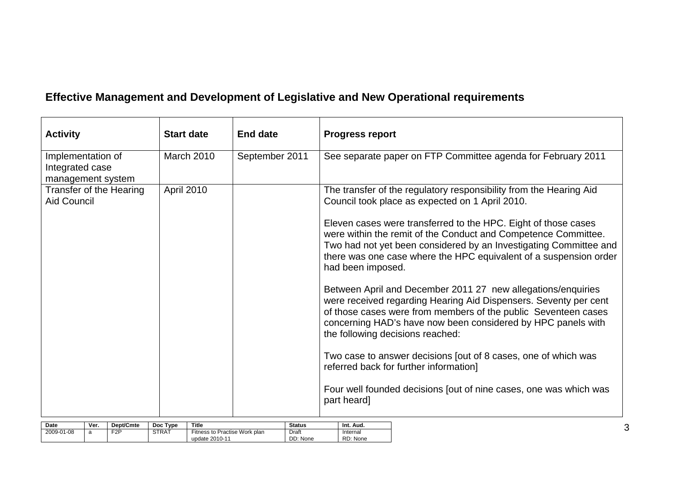## **Effective Management and Development of Legislative and New Operational requirements**

| <b>Activity</b>                                           | <b>Start date</b> | <b>End date</b> | <b>Progress report</b>                                                                                                                                                                                                                                                                                 |
|-----------------------------------------------------------|-------------------|-----------------|--------------------------------------------------------------------------------------------------------------------------------------------------------------------------------------------------------------------------------------------------------------------------------------------------------|
| Implementation of<br>Integrated case<br>management system | March 2010        | September 2011  | See separate paper on FTP Committee agenda for February 2011                                                                                                                                                                                                                                           |
| Transfer of the Hearing<br><b>Aid Council</b>             | April 2010        |                 | The transfer of the regulatory responsibility from the Hearing Aid<br>Council took place as expected on 1 April 2010.                                                                                                                                                                                  |
|                                                           |                   |                 | Eleven cases were transferred to the HPC. Eight of those cases<br>were within the remit of the Conduct and Competence Committee.<br>Two had not yet been considered by an Investigating Committee and<br>there was one case where the HPC equivalent of a suspension order<br>had been imposed.        |
|                                                           |                   |                 | Between April and December 2011 27 new allegations/enquiries<br>were received regarding Hearing Aid Dispensers. Seventy per cent<br>of those cases were from members of the public Seventeen cases<br>concerning HAD's have now been considered by HPC panels with<br>the following decisions reached: |
|                                                           |                   |                 | Two case to answer decisions [out of 8 cases, one of which was<br>referred back for further information]                                                                                                                                                                                               |
|                                                           |                   |                 | Four well founded decisions fout of nine cases, one was which was<br>part heard]                                                                                                                                                                                                                       |

| Date       | Ver. | Dept/Cmte  | Doc Type     | Title                                           | <b>Status</b> | Int.<br>Aud. |
|------------|------|------------|--------------|-------------------------------------------------|---------------|--------------|
| 2009-01-08 |      | EOD<br>۰Z۱ | <b>STRAT</b> | $- \cdot$<br>Practise Work plan ۱<br>Fitness to | Draft         | Internal     |
|            |      |            |              | update 2010-11                                  | DD: None      | RD:<br>None  |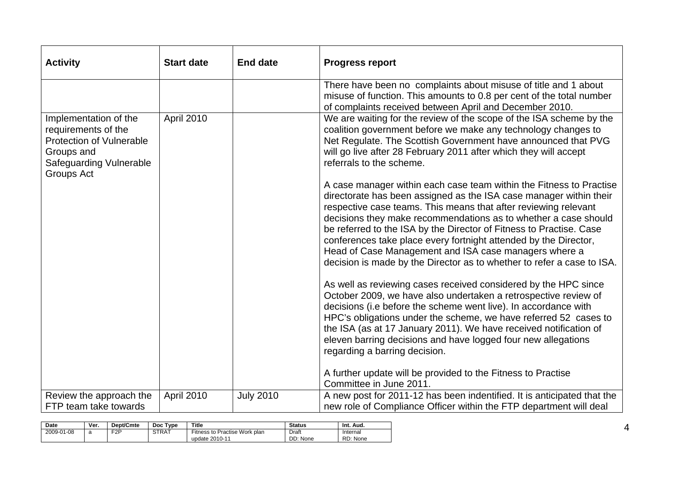| <b>Activity</b>                                                                                                                               | <b>Start date</b> | <b>End date</b>  | <b>Progress report</b>                                                                                                                                                                                                                                                                                                                                                                                                                                                                                                                                        |
|-----------------------------------------------------------------------------------------------------------------------------------------------|-------------------|------------------|---------------------------------------------------------------------------------------------------------------------------------------------------------------------------------------------------------------------------------------------------------------------------------------------------------------------------------------------------------------------------------------------------------------------------------------------------------------------------------------------------------------------------------------------------------------|
|                                                                                                                                               |                   |                  | There have been no complaints about misuse of title and 1 about<br>misuse of function. This amounts to 0.8 per cent of the total number<br>of complaints received between April and December 2010.                                                                                                                                                                                                                                                                                                                                                            |
| Implementation of the<br>requirements of the<br><b>Protection of Vulnerable</b><br>Groups and<br><b>Safeguarding Vulnerable</b><br>Groups Act | April 2010        |                  | We are waiting for the review of the scope of the ISA scheme by the<br>coalition government before we make any technology changes to<br>Net Regulate. The Scottish Government have announced that PVG<br>will go live after 28 February 2011 after which they will accept<br>referrals to the scheme.                                                                                                                                                                                                                                                         |
|                                                                                                                                               |                   |                  | A case manager within each case team within the Fitness to Practise<br>directorate has been assigned as the ISA case manager within their<br>respective case teams. This means that after reviewing relevant<br>decisions they make recommendations as to whether a case should<br>be referred to the ISA by the Director of Fitness to Practise. Case<br>conferences take place every fortnight attended by the Director,<br>Head of Case Management and ISA case managers where a<br>decision is made by the Director as to whether to refer a case to ISA. |
|                                                                                                                                               |                   |                  | As well as reviewing cases received considered by the HPC since<br>October 2009, we have also undertaken a retrospective review of<br>decisions (i.e before the scheme went live). In accordance with<br>HPC's obligations under the scheme, we have referred 52 cases to<br>the ISA (as at 17 January 2011). We have received notification of<br>eleven barring decisions and have logged four new allegations<br>regarding a barring decision.<br>A further update will be provided to the Fitness to Practise                                              |
|                                                                                                                                               |                   |                  | Committee in June 2011.                                                                                                                                                                                                                                                                                                                                                                                                                                                                                                                                       |
| Review the approach the<br>FTP team take towards                                                                                              | April 2010        | <b>July 2010</b> | A new post for 2011-12 has been indentified. It is anticipated that the<br>new role of Compliance Officer within the FTP department will deal                                                                                                                                                                                                                                                                                                                                                                                                                 |

| <b>Date</b> | Ver. | Dept/Cmte        | Doc Type | Title                                           | Status            | Int. Aud.            |
|-------------|------|------------------|----------|-------------------------------------------------|-------------------|----------------------|
| 2009-01-08  | a    | F <sub>2</sub> P | STRAT    | Fitness to Practise Work plan<br>update 2010-11 | Draft<br>DD: None | Internal<br>RD: None |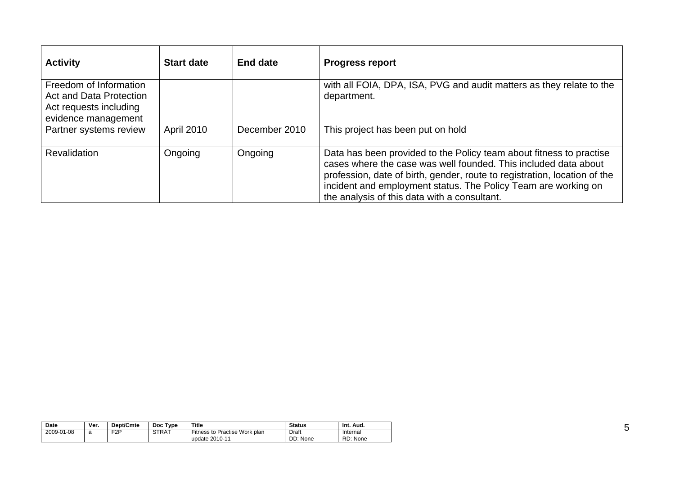| <b>Activity</b>                                                                                           | <b>Start date</b> | <b>End date</b> | <b>Progress report</b>                                                                                                                                                                                                                                                                                                                |
|-----------------------------------------------------------------------------------------------------------|-------------------|-----------------|---------------------------------------------------------------------------------------------------------------------------------------------------------------------------------------------------------------------------------------------------------------------------------------------------------------------------------------|
| Freedom of Information<br><b>Act and Data Protection</b><br>Act requests including<br>evidence management |                   |                 | with all FOIA, DPA, ISA, PVG and audit matters as they relate to the<br>department.                                                                                                                                                                                                                                                   |
| Partner systems review                                                                                    | <b>April 2010</b> | December 2010   | This project has been put on hold                                                                                                                                                                                                                                                                                                     |
| <b>Revalidation</b>                                                                                       | Ongoing           | Ongoing         | Data has been provided to the Policy team about fitness to practise<br>cases where the case was well founded. This included data about<br>profession, date of birth, gender, route to registration, location of the<br>incident and employment status. The Policy Team are working on<br>the analysis of this data with a consultant. |

| Date       | Ver. | Dept/Cmte        | Tvpe<br><b>Doc</b> | Title                                           | <b>Status</b>     | Int.<br>Aud.         |
|------------|------|------------------|--------------------|-------------------------------------------------|-------------------|----------------------|
| 2009-01-08 | a    | F <sub>2</sub> P | <b>STRAT</b>       | Fitness to Practise Work plan<br>update 2010-11 | Draft<br>DD: None | Internal<br>RD: None |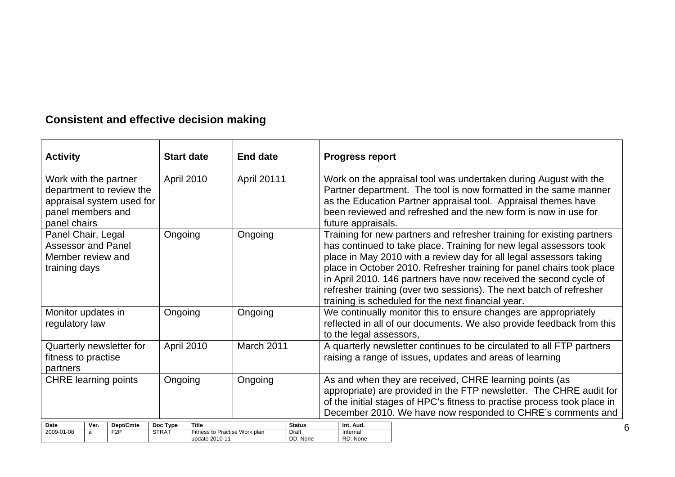## **Consistent and effective decision making**

| <b>Activity</b>                                                                       |                           |                               |                                                                                                                           | <b>Start date</b>                                        | <b>End date</b> |                                                                                                                                                                                                                                                                           | <b>Progress report</b>                                                                                                                                                                                                                                                                                                                                                                                                                                                                        |  |                                                                                                                                                                                                                                                                          |
|---------------------------------------------------------------------------------------|---------------------------|-------------------------------|---------------------------------------------------------------------------------------------------------------------------|----------------------------------------------------------|-----------------|---------------------------------------------------------------------------------------------------------------------------------------------------------------------------------------------------------------------------------------------------------------------------|-----------------------------------------------------------------------------------------------------------------------------------------------------------------------------------------------------------------------------------------------------------------------------------------------------------------------------------------------------------------------------------------------------------------------------------------------------------------------------------------------|--|--------------------------------------------------------------------------------------------------------------------------------------------------------------------------------------------------------------------------------------------------------------------------|
| panel chairs                                                                          | April 2010<br>April 20111 |                               | Work with the partner<br>department to review the<br>appraisal system used for<br>panel members and<br>future appraisals. |                                                          |                 |                                                                                                                                                                                                                                                                           |                                                                                                                                                                                                                                                                                                                                                                                                                                                                                               |  | Work on the appraisal tool was undertaken during August with the<br>Partner department. The tool is now formatted in the same manner<br>as the Education Partner appraisal tool. Appraisal themes have<br>been reviewed and refreshed and the new form is now in use for |
| Panel Chair, Legal<br><b>Assessor and Panel</b><br>Member review and<br>training days |                           |                               | Ongoing                                                                                                                   | Ongoing                                                  |                 |                                                                                                                                                                                                                                                                           | Training for new partners and refresher training for existing partners<br>has continued to take place. Training for new legal assessors took<br>place in May 2010 with a review day for all legal assessors taking<br>place in October 2010. Refresher training for panel chairs took place<br>in April 2010. 146 partners have now received the second cycle of<br>refresher training (over two sessions). The next batch of refresher<br>training is scheduled for the next financial year. |  |                                                                                                                                                                                                                                                                          |
| Monitor updates in<br>regulatory law                                                  |                           |                               | Ongoing                                                                                                                   |                                                          | Ongoing         |                                                                                                                                                                                                                                                                           | We continually monitor this to ensure changes are appropriately<br>reflected in all of our documents. We also provide feedback from this<br>to the legal assessors,                                                                                                                                                                                                                                                                                                                           |  |                                                                                                                                                                                                                                                                          |
| fitness to practise<br>partners                                                       |                           | Quarterly newsletter for      |                                                                                                                           | April 2010<br>March 2011                                 |                 |                                                                                                                                                                                                                                                                           | A quarterly newsletter continues to be circulated to all FTP partners<br>raising a range of issues, updates and areas of learning                                                                                                                                                                                                                                                                                                                                                             |  |                                                                                                                                                                                                                                                                          |
| <b>CHRE</b> learning points                                                           |                           | Ongoing                       |                                                                                                                           | Ongoing                                                  |                 | As and when they are received, CHRE learning points (as<br>appropriate) are provided in the FTP newsletter. The CHRE audit for<br>of the initial stages of HPC's fitness to practise process took place in<br>December 2010. We have now responded to CHRE's comments and |                                                                                                                                                                                                                                                                                                                                                                                                                                                                                               |  |                                                                                                                                                                                                                                                                          |
| Date<br>2009-01-08                                                                    | Ver.<br>a                 | Dept/Cmte<br>F <sub>2</sub> P | Doc Type<br><b>STRAT</b>                                                                                                  | Title<br>Fitness to Practise Work plan<br>update 2010-11 |                 | <b>Status</b><br>Draft<br>DD: None                                                                                                                                                                                                                                        | Int. Aud.<br>6<br>Internal<br>RD: None                                                                                                                                                                                                                                                                                                                                                                                                                                                        |  |                                                                                                                                                                                                                                                                          |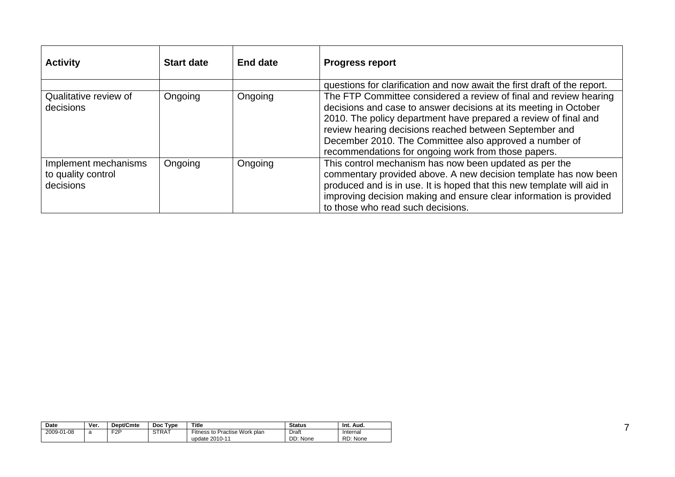| <b>Activity</b>                                         | <b>Start date</b> | End date | <b>Progress report</b>                                                                                                                                                                                                                                                                                                                                                              |
|---------------------------------------------------------|-------------------|----------|-------------------------------------------------------------------------------------------------------------------------------------------------------------------------------------------------------------------------------------------------------------------------------------------------------------------------------------------------------------------------------------|
|                                                         |                   |          | questions for clarification and now await the first draft of the report.                                                                                                                                                                                                                                                                                                            |
| Qualitative review of<br>decisions                      | Ongoing           | Ongoing  | The FTP Committee considered a review of final and review hearing<br>decisions and case to answer decisions at its meeting in October<br>2010. The policy department have prepared a review of final and<br>review hearing decisions reached between September and<br>December 2010. The Committee also approved a number of<br>recommendations for ongoing work from those papers. |
| Implement mechanisms<br>to quality control<br>decisions | Ongoing           | Ongoing  | This control mechanism has now been updated as per the<br>commentary provided above. A new decision template has now been<br>produced and is in use. It is hoped that this new template will aid in<br>improving decision making and ensure clear information is provided<br>to those who read such decisions.                                                                      |

| Date       | Ver.            | <b>Dept/Cmte</b> | Doc Type | <b>Title</b>                                    | <b>Status</b>     | Int.<br>Aud.         |
|------------|-----------------|------------------|----------|-------------------------------------------------|-------------------|----------------------|
| 2009-01-08 | $\sqrt{2}$<br>d | F <sub>2</sub> P | STRAT    | Fitness to Practise Work plan<br>update 2010-11 | Draft<br>DD: None | Internal<br>RD: None |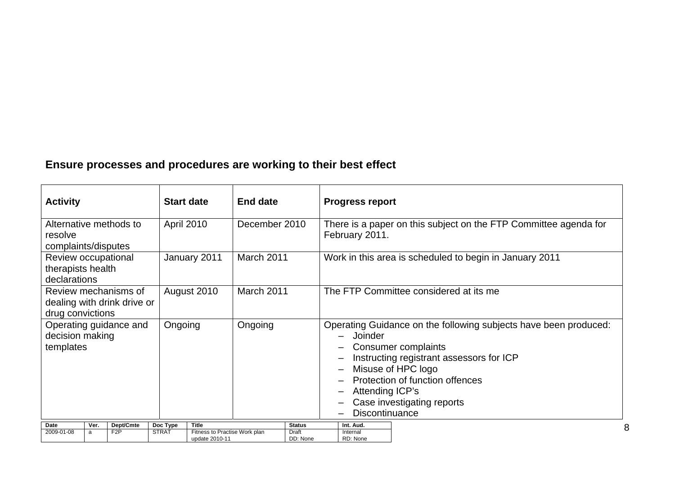### **Ensure processes and procedures are working to their best effect**

| <b>Activity</b>                                                             |      |                               |                          | <b>Start date</b> | <b>End date</b> |                                                                                                                                                                                                                                                                            | <b>Progress report</b> |
|-----------------------------------------------------------------------------|------|-------------------------------|--------------------------|-------------------|-----------------|----------------------------------------------------------------------------------------------------------------------------------------------------------------------------------------------------------------------------------------------------------------------------|------------------------|
| Alternative methods to<br>resolve<br>complaints/disputes                    |      |                               | <b>April 2010</b>        | December 2010     |                 | There is a paper on this subject on the FTP Committee agenda for<br>February 2011.                                                                                                                                                                                         |                        |
| Review occupational<br>therapists health<br>declarations                    |      |                               | January 2011             | March 2011        |                 | Work in this area is scheduled to begin in January 2011                                                                                                                                                                                                                    |                        |
| Review mechanisms of<br>dealing with drink drive or<br>drug convictions     |      |                               | August 2010              | March 2011        |                 | The FTP Committee considered at its me                                                                                                                                                                                                                                     |                        |
| Operating guidance and<br>decision making<br>templates                      |      |                               | Ongoing                  | Ongoing           |                 | Operating Guidance on the following subjects have been produced:<br>Joinder<br>Consumer complaints<br>Instructing registrant assessors for ICP<br>Misuse of HPC logo<br>Protection of function offences<br>Attending ICP's<br>Case investigating reports<br>Discontinuance |                        |
| Date                                                                        | Ver. | Dept/Cmte<br>F <sub>2</sub> P | Doc Type<br><b>STRAT</b> | Title             |                 | <b>Status</b>                                                                                                                                                                                                                                                              | Int. Aud.<br>Internal  |
| Fitness to Practise Work plan<br>2009-01-08<br>Draft<br>a<br>update 2010-11 |      | DD: None                      | RD: None                 |                   |                 |                                                                                                                                                                                                                                                                            |                        |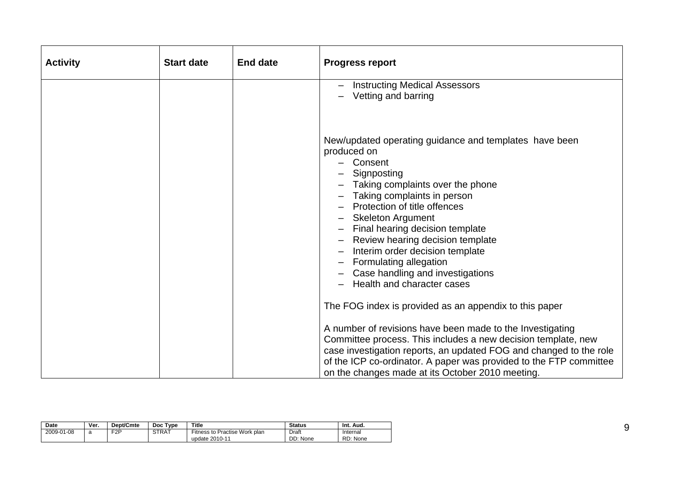| <b>Activity</b> | <b>Start date</b> | <b>End date</b> | <b>Progress report</b>                                                                                                                                                                                                                                                                                                                                                                                                               |
|-----------------|-------------------|-----------------|--------------------------------------------------------------------------------------------------------------------------------------------------------------------------------------------------------------------------------------------------------------------------------------------------------------------------------------------------------------------------------------------------------------------------------------|
|                 |                   |                 | <b>Instructing Medical Assessors</b><br>Vetting and barring                                                                                                                                                                                                                                                                                                                                                                          |
|                 |                   |                 | New/updated operating guidance and templates have been<br>produced on<br>Consent<br>Signposting<br>Taking complaints over the phone<br>Taking complaints in person<br>Protection of title offences<br><b>Skeleton Argument</b><br>Final hearing decision template<br>Review hearing decision template<br>Interim order decision template<br>Formulating allegation<br>Case handling and investigations<br>Health and character cases |
|                 |                   |                 | The FOG index is provided as an appendix to this paper<br>A number of revisions have been made to the Investigating<br>Committee process. This includes a new decision template, new<br>case investigation reports, an updated FOG and changed to the role<br>of the ICP co-ordinator. A paper was provided to the FTP committee<br>on the changes made at its October 2010 meeting.                                                 |

| Date       | Ver.        | Dept/Cmte        | Type<br>Doc  | <b>Title</b>                                    | <b>Status</b>     | Int. Aud.            |
|------------|-------------|------------------|--------------|-------------------------------------------------|-------------------|----------------------|
| 2009-01-08 | $\sim$<br>a | F <sub>2</sub> P | <b>STRAT</b> | Fitness to Practise Work plan<br>update 2010-11 | Draft<br>DD: None | Internal<br>RD: None |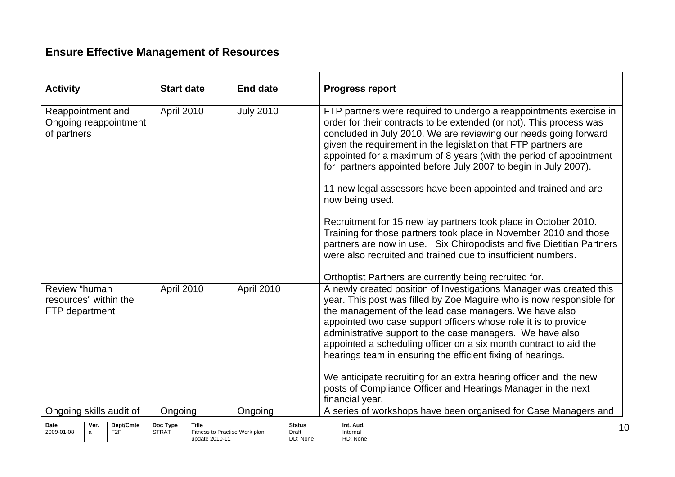### **Ensure Effective Management of Resources**

2009-01-08 a F2P STRAT Fitness to Practise Work plan

update 2010-11

| <b>Activity</b>                                                  | <b>Start date</b>                                                  | <b>End date</b>        | <b>Progress report</b>                                                                                                                                                                                                                                                                                                                                                                                                                                                                                                                                                                                         |  |  |
|------------------------------------------------------------------|--------------------------------------------------------------------|------------------------|----------------------------------------------------------------------------------------------------------------------------------------------------------------------------------------------------------------------------------------------------------------------------------------------------------------------------------------------------------------------------------------------------------------------------------------------------------------------------------------------------------------------------------------------------------------------------------------------------------------|--|--|
| Reappointment and<br>Ongoing reappointment<br>of partners        | April 2010<br><b>July 2010</b>                                     |                        | FTP partners were required to undergo a reappointments exercise in<br>order for their contracts to be extended (or not). This process was<br>concluded in July 2010. We are reviewing our needs going forward<br>given the requirement in the legislation that FTP partners are<br>appointed for a maximum of 8 years (with the period of appointment<br>for partners appointed before July 2007 to begin in July 2007).<br>11 new legal assessors have been appointed and trained and are<br>now being used.                                                                                                  |  |  |
|                                                                  |                                                                    |                        | Recruitment for 15 new lay partners took place in October 2010.<br>Training for those partners took place in November 2010 and those<br>partners are now in use. Six Chiropodists and five Dietitian Partners<br>were also recruited and trained due to insufficient numbers.<br>Orthoptist Partners are currently being recruited for.                                                                                                                                                                                                                                                                        |  |  |
| Review "human<br>resources" within the<br>FTP department         | April 2010                                                         | April 2010             | A newly created position of Investigations Manager was created this<br>year. This post was filled by Zoe Maguire who is now responsible for<br>the management of the lead case managers. We have also<br>appointed two case support officers whose role it is to provide<br>administrative support to the case managers. We have also<br>appointed a scheduling officer on a six month contract to aid the<br>hearings team in ensuring the efficient fixing of hearings.<br>We anticipate recruiting for an extra hearing officer and the new<br>posts of Compliance Officer and Hearings Manager in the next |  |  |
| Ongoing skills audit of                                          | Ongoing                                                            | Ongoing                | financial year.<br>A series of workshops have been organised for Case Managers and                                                                                                                                                                                                                                                                                                                                                                                                                                                                                                                             |  |  |
| Dept/Cmte<br>Date<br>Ver.<br>2009-01-08<br>F2P<br>$\overline{a}$ | Doc Type<br>Title<br><b>STRAT</b><br>Fitness to Practise Work plan | <b>Status</b><br>Draft | Int. Aud.<br>Internal                                                                                                                                                                                                                                                                                                                                                                                                                                                                                                                                                                                          |  |  |

DD: None

RD: None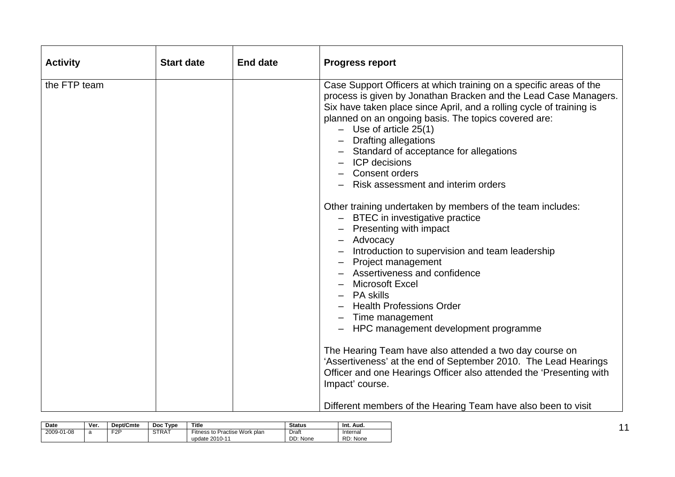| <b>Activity</b> | <b>Start date</b> | <b>End date</b> | <b>Progress report</b>                                                                                                                                                                                                                                                                                                                                                                                                                                                                                                                                                                                                                                                                                                                                                                                                                                                                                                                                                                                                                                                                    |
|-----------------|-------------------|-----------------|-------------------------------------------------------------------------------------------------------------------------------------------------------------------------------------------------------------------------------------------------------------------------------------------------------------------------------------------------------------------------------------------------------------------------------------------------------------------------------------------------------------------------------------------------------------------------------------------------------------------------------------------------------------------------------------------------------------------------------------------------------------------------------------------------------------------------------------------------------------------------------------------------------------------------------------------------------------------------------------------------------------------------------------------------------------------------------------------|
| the FTP team    |                   |                 | Case Support Officers at which training on a specific areas of the<br>process is given by Jonathan Bracken and the Lead Case Managers.<br>Six have taken place since April, and a rolling cycle of training is<br>planned on an ongoing basis. The topics covered are:<br>$-$ Use of article 25(1)<br><b>Drafting allegations</b><br>- Standard of acceptance for allegations<br><b>ICP</b> decisions<br>Consent orders<br>Risk assessment and interim orders<br>Other training undertaken by members of the team includes:<br>BTEC in investigative practice<br>Presenting with impact<br>- Advocacy<br>Introduction to supervision and team leadership<br><b>Project management</b><br>Assertiveness and confidence<br><b>Microsoft Excel</b><br><b>PA skills</b><br><b>Health Professions Order</b><br>Time management<br>HPC management development programme<br>The Hearing Team have also attended a two day course on<br>'Assertiveness' at the end of September 2010. The Lead Hearings<br>Officer and one Hearings Officer also attended the 'Presenting with<br>Impact' course. |
|                 |                   |                 | Different members of the Hearing Team have also been to visit                                                                                                                                                                                                                                                                                                                                                                                                                                                                                                                                                                                                                                                                                                                                                                                                                                                                                                                                                                                                                             |

| Date       | Ver. | Dept/Cmte        | Doc Type     | <b>Title</b>                                    | <b>Status</b>     | Int. Aud.            |
|------------|------|------------------|--------------|-------------------------------------------------|-------------------|----------------------|
| 2009-01-08 | a    | F <sub>2</sub> P | <b>STRAT</b> | Fitness to Practise Work plan<br>update 2010-11 | Draft<br>DD: None | Internal<br>RD: None |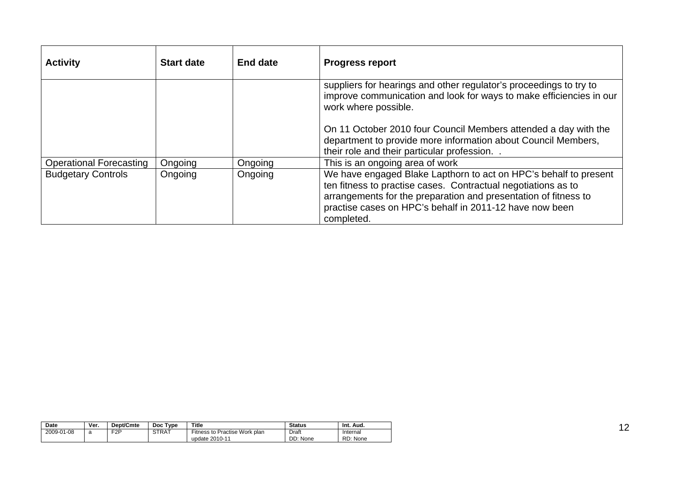| <b>Activity</b>                | <b>Start date</b> | <b>End date</b> | <b>Progress report</b>                                                                                                                                                                                                                                                        |
|--------------------------------|-------------------|-----------------|-------------------------------------------------------------------------------------------------------------------------------------------------------------------------------------------------------------------------------------------------------------------------------|
|                                |                   |                 | suppliers for hearings and other regulator's proceedings to try to<br>improve communication and look for ways to make efficiencies in our<br>work where possible.                                                                                                             |
|                                |                   |                 | On 11 October 2010 four Council Members attended a day with the<br>department to provide more information about Council Members,<br>their role and their particular profession.                                                                                               |
| <b>Operational Forecasting</b> | Ongoing           | Ongoing         | This is an ongoing area of work                                                                                                                                                                                                                                               |
| <b>Budgetary Controls</b>      | Ongoing           | Ongoing         | We have engaged Blake Lapthorn to act on HPC's behalf to present<br>ten fitness to practise cases. Contractual negotiations as to<br>arrangements for the preparation and presentation of fitness to<br>practise cases on HPC's behalf in 2011-12 have now been<br>completed. |

| <b>Date</b> | Ver. | Dept/Cmte | Type<br><b>Doc</b> | Title                                           | <b>Status</b>     | Int.<br>Aud.         |
|-------------|------|-----------|--------------------|-------------------------------------------------|-------------------|----------------------|
| 2009-01-08  |      | E2P       | <b>STRAT</b>       | Fitness to Practise Work plan<br>update 2010-11 | Draft<br>DD: None | Internal<br>RD: None |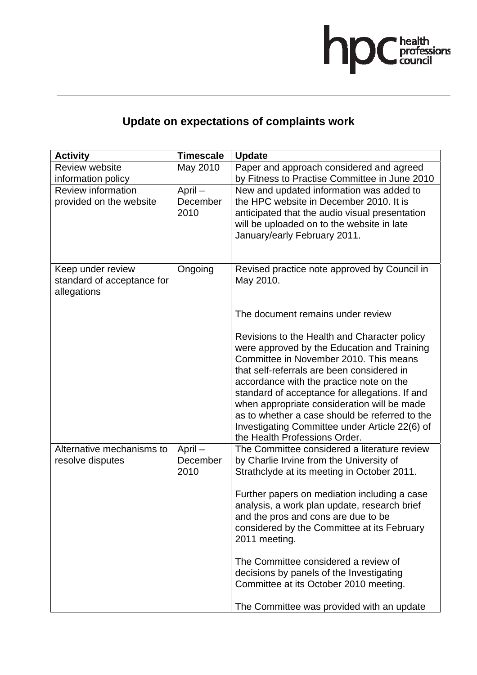

## **Update on expectations of complaints work**

| <b>Activity</b>                                                | <b>Timescale</b>              | <b>Update</b>                                                                                                                                                                                                                                                                                                                                                                                                                                                         |
|----------------------------------------------------------------|-------------------------------|-----------------------------------------------------------------------------------------------------------------------------------------------------------------------------------------------------------------------------------------------------------------------------------------------------------------------------------------------------------------------------------------------------------------------------------------------------------------------|
| <b>Review website</b>                                          | May 2010                      | Paper and approach considered and agreed                                                                                                                                                                                                                                                                                                                                                                                                                              |
| information policy                                             |                               | by Fitness to Practise Committee in June 2010                                                                                                                                                                                                                                                                                                                                                                                                                         |
| Review information<br>provided on the website                  | $April -$<br>December<br>2010 | New and updated information was added to<br>the HPC website in December 2010. It is<br>anticipated that the audio visual presentation<br>will be uploaded on to the website in late<br>January/early February 2011.                                                                                                                                                                                                                                                   |
| Keep under review<br>standard of acceptance for<br>allegations | Ongoing                       | Revised practice note approved by Council in<br>May 2010.                                                                                                                                                                                                                                                                                                                                                                                                             |
|                                                                |                               | The document remains under review                                                                                                                                                                                                                                                                                                                                                                                                                                     |
|                                                                |                               | Revisions to the Health and Character policy<br>were approved by the Education and Training<br>Committee in November 2010. This means<br>that self-referrals are been considered in<br>accordance with the practice note on the<br>standard of acceptance for allegations. If and<br>when appropriate consideration will be made<br>as to whether a case should be referred to the<br>Investigating Committee under Article 22(6) of<br>the Health Professions Order. |
| Alternative mechanisms to<br>resolve disputes                  | April-<br>December<br>2010    | The Committee considered a literature review<br>by Charlie Irvine from the University of<br>Strathclyde at its meeting in October 2011.                                                                                                                                                                                                                                                                                                                               |
|                                                                |                               | Further papers on mediation including a case<br>analysis, a work plan update, research brief<br>and the pros and cons are due to be<br>considered by the Committee at its February<br>2011 meeting.                                                                                                                                                                                                                                                                   |
|                                                                |                               | The Committee considered a review of<br>decisions by panels of the Investigating<br>Committee at its October 2010 meeting.                                                                                                                                                                                                                                                                                                                                            |
|                                                                |                               | The Committee was provided with an update                                                                                                                                                                                                                                                                                                                                                                                                                             |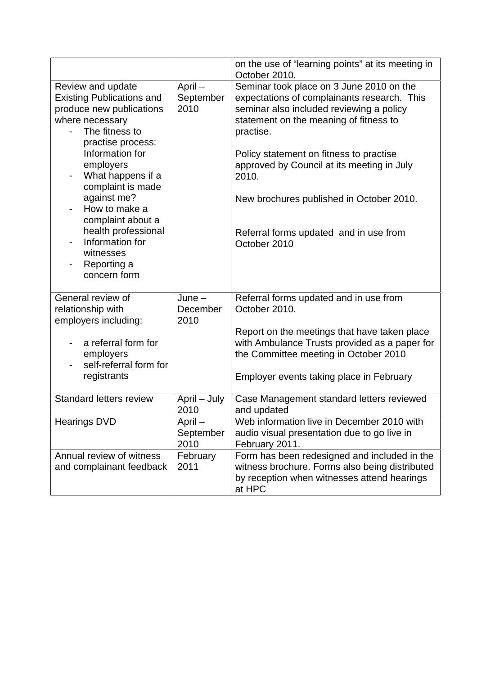|                                                                                                                                                                                                                                                                                                                                                                  |                              | on the use of "learning points" at its meeting in<br>October 2010.                                                                                                                                                                                                                                                                                                                                 |
|------------------------------------------------------------------------------------------------------------------------------------------------------------------------------------------------------------------------------------------------------------------------------------------------------------------------------------------------------------------|------------------------------|----------------------------------------------------------------------------------------------------------------------------------------------------------------------------------------------------------------------------------------------------------------------------------------------------------------------------------------------------------------------------------------------------|
| Review and update<br><b>Existing Publications and</b><br>produce new publications<br>where necessary<br>The fitness to<br>practise process:<br>Information for<br>employers<br>What happens if a<br>complaint is made<br>against me?<br>How to make a<br>complaint about a<br>health professional<br>Information for<br>witnesses<br>Reporting a<br>concern form | April-<br>September<br>2010  | Seminar took place on 3 June 2010 on the<br>expectations of complainants research. This<br>seminar also included reviewing a policy<br>statement on the meaning of fitness to<br>practise.<br>Policy statement on fitness to practise<br>approved by Council at its meeting in July<br>2010.<br>New brochures published in October 2010.<br>Referral forms updated and in use from<br>October 2010 |
| General review of<br>relationship with<br>employers including:<br>a referral form for<br>employers<br>self-referral form for<br>registrants                                                                                                                                                                                                                      | $June -$<br>December<br>2010 | Referral forms updated and in use from<br>October 2010.<br>Report on the meetings that have taken place<br>with Ambulance Trusts provided as a paper for<br>the Committee meeting in October 2010<br>Employer events taking place in February                                                                                                                                                      |
| <b>Standard letters review</b>                                                                                                                                                                                                                                                                                                                                   | April - July<br>2010         | Case Management standard letters reviewed<br>and updated                                                                                                                                                                                                                                                                                                                                           |
| <b>Hearings DVD</b>                                                                                                                                                                                                                                                                                                                                              | April -<br>September<br>2010 | Web information live in December 2010 with<br>audio visual presentation due to go live in<br>February 2011.                                                                                                                                                                                                                                                                                        |
| Annual review of witness<br>and complainant feedback                                                                                                                                                                                                                                                                                                             | February<br>2011             | Form has been redesigned and included in the<br>witness brochure. Forms also being distributed<br>by reception when witnesses attend hearings<br>at HPC                                                                                                                                                                                                                                            |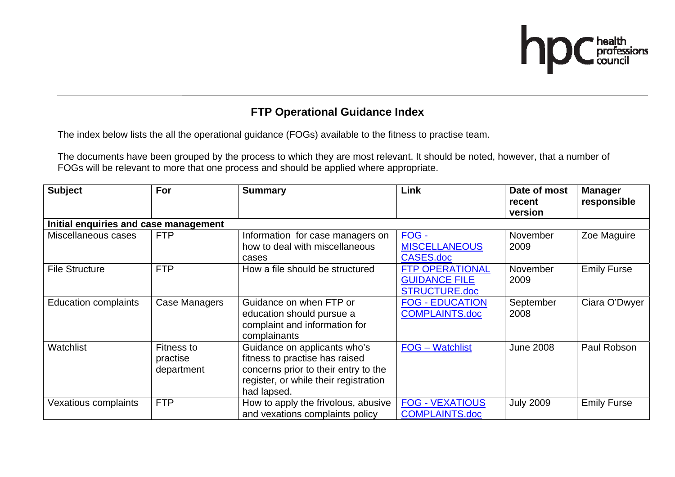

### **FTP Operational Guidance Index**

The index below lists the all the operational guidance (FOGs) available to the fitness to practise team.

The documents have been grouped by the process to which they are most relevant. It should be noted, however, that a number of FOGs will be relevant to more that one process and should be applied where appropriate.

| <b>Subject</b>                        | For                                         | <b>Summary</b>                                                                                                                                                 | Link                                                                   | Date of most<br>recent<br>version | <b>Manager</b><br>responsible |  |  |  |  |
|---------------------------------------|---------------------------------------------|----------------------------------------------------------------------------------------------------------------------------------------------------------------|------------------------------------------------------------------------|-----------------------------------|-------------------------------|--|--|--|--|
| Initial enquiries and case management |                                             |                                                                                                                                                                |                                                                        |                                   |                               |  |  |  |  |
| Miscellaneous cases                   | <b>FTP</b>                                  | Information for case managers on<br>how to deal with miscellaneous<br>cases                                                                                    | FOG -<br><b>MISCELLANEOUS</b><br>CASES.doc                             | November<br>2009                  | Zoe Maguire                   |  |  |  |  |
| <b>File Structure</b>                 | <b>FTP</b>                                  | How a file should be structured                                                                                                                                | <b>FTP OPERATIONAL</b><br><b>GUIDANCE FILE</b><br><b>STRUCTURE.doc</b> | November<br>2009                  | <b>Emily Furse</b>            |  |  |  |  |
| <b>Education complaints</b>           | <b>Case Managers</b>                        | Guidance on when FTP or<br>education should pursue a<br>complaint and information for<br>complainants                                                          | <b>FOG - EDUCATION</b><br><b>COMPLAINTS.doc</b>                        | September<br>2008                 | Ciara O'Dwyer                 |  |  |  |  |
| Watchlist                             | <b>Fitness to</b><br>practise<br>department | Guidance on applicants who's<br>fitness to practise has raised<br>concerns prior to their entry to the<br>register, or while their registration<br>had lapsed. | <b>FOG</b> - Watchlist                                                 | <b>June 2008</b>                  | Paul Robson                   |  |  |  |  |
| Vexatious complaints                  | <b>FTP</b>                                  | How to apply the frivolous, abusive<br>and vexations complaints policy                                                                                         | <b>FOG - VEXATIOUS</b><br><b>COMPLAINTS.doc</b>                        | <b>July 2009</b>                  | <b>Emily Furse</b>            |  |  |  |  |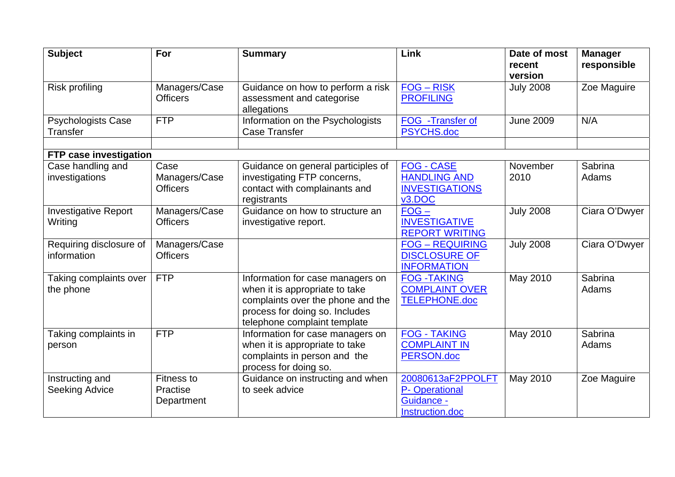| <b>Subject</b>                               | For                                         | <b>Summary</b>                                                                                                                                                            | Link                                                                        | Date of most<br>recent<br>version | <b>Manager</b><br>responsible |
|----------------------------------------------|---------------------------------------------|---------------------------------------------------------------------------------------------------------------------------------------------------------------------------|-----------------------------------------------------------------------------|-----------------------------------|-------------------------------|
| Risk profiling                               | Managers/Case<br><b>Officers</b>            | Guidance on how to perform a risk<br>assessment and categorise<br>allegations                                                                                             | $FOG - RISK$<br><b>PROFILING</b>                                            | <b>July 2008</b>                  | Zoe Maguire                   |
| <b>Psychologists Case</b><br><b>Transfer</b> | <b>FTP</b>                                  | Information on the Psychologists<br><b>Case Transfer</b>                                                                                                                  | FOG -Transfer of<br><b>PSYCHS.doc</b>                                       | <b>June 2009</b>                  | N/A                           |
| FTP case investigation                       |                                             |                                                                                                                                                                           |                                                                             |                                   |                               |
| Case handling and<br>investigations          | Case<br>Managers/Case<br><b>Officers</b>    | Guidance on general participles of<br>investigating FTP concerns,<br>contact with complainants and<br>registrants                                                         | <b>FOG - CASE</b><br><b>HANDLING AND</b><br><b>INVESTIGATIONS</b><br>v3.DOC | November<br>2010                  | Sabrina<br>Adams              |
| <b>Investigative Report</b><br>Writing       | Managers/Case<br><b>Officers</b>            | Guidance on how to structure an<br>investigative report.                                                                                                                  | $FOG -$<br><b>INVESTIGATIVE</b><br><b>REPORT WRITING</b>                    | <b>July 2008</b>                  | Ciara O'Dwyer                 |
| Requiring disclosure of<br>information       | Managers/Case<br><b>Officers</b>            |                                                                                                                                                                           | <b>FOG - REQUIRING</b><br><b>DISCLOSURE OF</b><br><b>INFORMATION</b>        | <b>July 2008</b>                  | Ciara O'Dwyer                 |
| Taking complaints over<br>the phone          | <b>FTP</b>                                  | Information for case managers on<br>when it is appropriate to take<br>complaints over the phone and the<br>process for doing so. Includes<br>telephone complaint template | <b>FOG-TAKING</b><br><b>COMPLAINT OVER</b><br><b>TELEPHONE.doc</b>          | May 2010                          | Sabrina<br>Adams              |
| Taking complaints in<br>person               | <b>FTP</b>                                  | Information for case managers on<br>when it is appropriate to take<br>complaints in person and the<br>process for doing so.                                               | <b>FOG - TAKING</b><br><b>COMPLAINT IN</b><br>PERSON.doc                    | May 2010                          | Sabrina<br>Adams              |
| Instructing and<br><b>Seeking Advice</b>     | <b>Fitness to</b><br>Practise<br>Department | Guidance on instructing and when<br>to seek advice                                                                                                                        | 20080613aF2PPOLFT<br>P- Operational<br><b>Guidance -</b><br>Instruction.doc | May 2010                          | Zoe Maguire                   |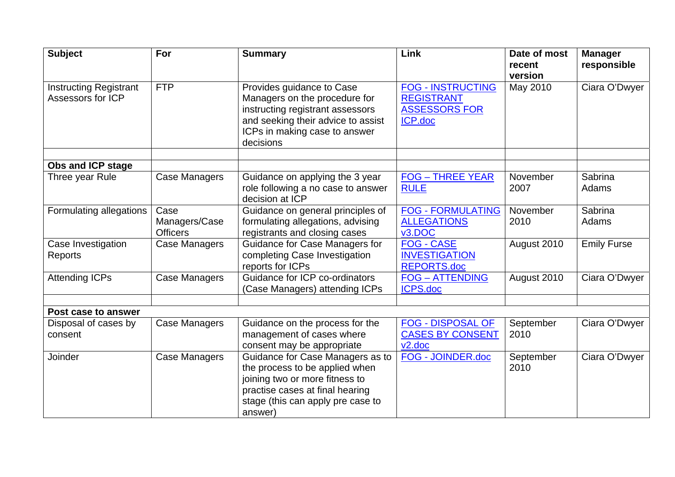| <b>Subject</b>                                     | For                                      | <b>Summary</b>                                                                                                                                                                          | Link                                                                             | Date of most<br>recent | <b>Manager</b><br>responsible |
|----------------------------------------------------|------------------------------------------|-----------------------------------------------------------------------------------------------------------------------------------------------------------------------------------------|----------------------------------------------------------------------------------|------------------------|-------------------------------|
|                                                    |                                          |                                                                                                                                                                                         |                                                                                  | version                |                               |
| <b>Instructing Registrant</b><br>Assessors for ICP | <b>FTP</b>                               | Provides guidance to Case<br>Managers on the procedure for<br>instructing registrant assessors<br>and seeking their advice to assist<br>ICPs in making case to answer<br>decisions      | <b>FOG - INSTRUCTING</b><br><b>REGISTRANT</b><br><b>ASSESSORS FOR</b><br>ICP.doc | May 2010               | Ciara O'Dwyer                 |
| Obs and ICP stage                                  |                                          |                                                                                                                                                                                         |                                                                                  |                        |                               |
| Three year Rule                                    | <b>Case Managers</b>                     | Guidance on applying the 3 year<br>role following a no case to answer<br>decision at ICP                                                                                                | <b>FOG-THREE YEAR</b><br><b>RULE</b>                                             | November<br>2007       | Sabrina<br>Adams              |
| Formulating allegations                            | Case<br>Managers/Case<br><b>Officers</b> | Guidance on general principles of<br>formulating allegations, advising<br>registrants and closing cases                                                                                 | <b>FOG - FORMULATING</b><br><b>ALLEGATIONS</b><br>v3.DOC                         | November<br>2010       | Sabrina<br>Adams              |
| Case Investigation<br>Reports                      | Case Managers                            | Guidance for Case Managers for<br>completing Case Investigation<br>reports for ICPs                                                                                                     | FOG - CASE<br><b>INVESTIGATION</b><br><b>REPORTS.doc</b>                         | August 2010            | Emily Furse                   |
| <b>Attending ICPs</b>                              | Case Managers                            | Guidance for ICP co-ordinators<br>(Case Managers) attending ICPs                                                                                                                        | <b>FOG-ATTENDING</b><br><b>ICPS.doc</b>                                          | August 2010            | Ciara O'Dwyer                 |
| Post case to answer                                |                                          |                                                                                                                                                                                         |                                                                                  |                        |                               |
| Disposal of cases by<br>consent                    | <b>Case Managers</b>                     | Guidance on the process for the<br>management of cases where<br>consent may be appropriate                                                                                              | <b>FOG - DISPOSAL OF</b><br><b>CASES BY CONSENT</b><br>v2.doc                    | September<br>2010      | Ciara O'Dwyer                 |
| Joinder                                            | <b>Case Managers</b>                     | Guidance for Case Managers as to<br>the process to be applied when<br>joining two or more fitness to<br>practise cases at final hearing<br>stage (this can apply pre case to<br>answer) | FOG - JOINDER.doc                                                                | September<br>2010      | Ciara O'Dwyer                 |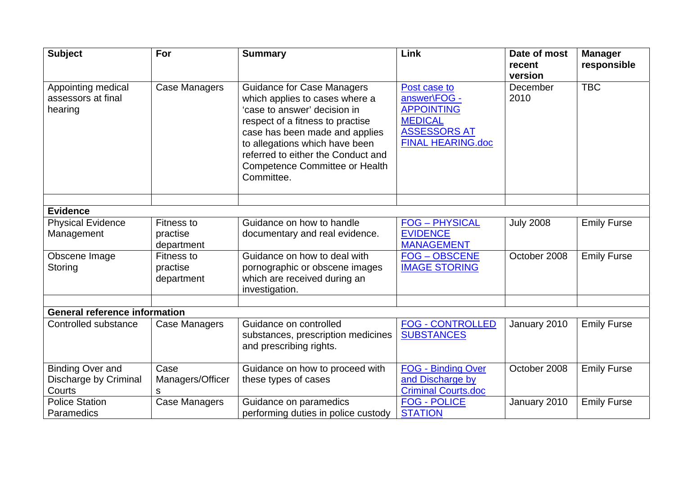| <b>Subject</b>                                      | For                                         | <b>Summary</b>                                                                                                                                                                                                                                                                                    | Link                                                                                                                   | Date of most<br>recent      | <b>Manager</b><br>responsible |
|-----------------------------------------------------|---------------------------------------------|---------------------------------------------------------------------------------------------------------------------------------------------------------------------------------------------------------------------------------------------------------------------------------------------------|------------------------------------------------------------------------------------------------------------------------|-----------------------------|-------------------------------|
| Appointing medical<br>assessors at final<br>hearing | Case Managers                               | <b>Guidance for Case Managers</b><br>which applies to cases where a<br>'case to answer' decision in<br>respect of a fitness to practise<br>case has been made and applies<br>to allegations which have been<br>referred to either the Conduct and<br>Competence Committee or Health<br>Committee. | Post case to<br>answer\FOG -<br><b>APPOINTING</b><br><b>MEDICAL</b><br><b>ASSESSORS AT</b><br><b>FINAL HEARING.doc</b> | version<br>December<br>2010 | <b>TBC</b>                    |
|                                                     |                                             |                                                                                                                                                                                                                                                                                                   |                                                                                                                        |                             |                               |
| <b>Evidence</b>                                     |                                             |                                                                                                                                                                                                                                                                                                   |                                                                                                                        |                             |                               |
| <b>Physical Evidence</b><br>Management              | <b>Fitness to</b><br>practise<br>department | Guidance on how to handle<br>documentary and real evidence.                                                                                                                                                                                                                                       | <b>FOG-PHYSICAL</b><br><b>EVIDENCE</b><br><b>MANAGEMENT</b>                                                            | <b>July 2008</b>            | <b>Emily Furse</b>            |
| Obscene Image<br>Storing                            | <b>Fitness to</b><br>practise<br>department | Guidance on how to deal with<br>pornographic or obscene images<br>which are received during an<br>investigation.                                                                                                                                                                                  | <b>FOG-OBSCENE</b><br><b>IMAGE STORING</b>                                                                             | October 2008                | <b>Emily Furse</b>            |
|                                                     |                                             |                                                                                                                                                                                                                                                                                                   |                                                                                                                        |                             |                               |
| <b>General reference information</b>                |                                             |                                                                                                                                                                                                                                                                                                   |                                                                                                                        |                             |                               |
| Controlled substance                                | Case Managers                               | Guidance on controlled<br>substances, prescription medicines<br>and prescribing rights.                                                                                                                                                                                                           | <b>FOG - CONTROLLED</b><br><b>SUBSTANCES</b>                                                                           | January 2010                | <b>Emily Furse</b>            |
| <b>Binding Over and</b>                             | Case                                        | Guidance on how to proceed with                                                                                                                                                                                                                                                                   | <b>FOG - Binding Over</b>                                                                                              | October 2008                | <b>Emily Furse</b>            |
| Discharge by Criminal                               | Managers/Officer                            | these types of cases                                                                                                                                                                                                                                                                              | and Discharge by                                                                                                       |                             |                               |
| Courts                                              | s                                           |                                                                                                                                                                                                                                                                                                   | <b>Criminal Courts.doc</b>                                                                                             |                             |                               |
| <b>Police Station</b>                               | <b>Case Managers</b>                        | Guidance on paramedics                                                                                                                                                                                                                                                                            | <b>FOG - POLICE</b>                                                                                                    | January 2010                | <b>Emily Furse</b>            |
| Paramedics                                          |                                             | performing duties in police custody                                                                                                                                                                                                                                                               | <b>STATION</b>                                                                                                         |                             |                               |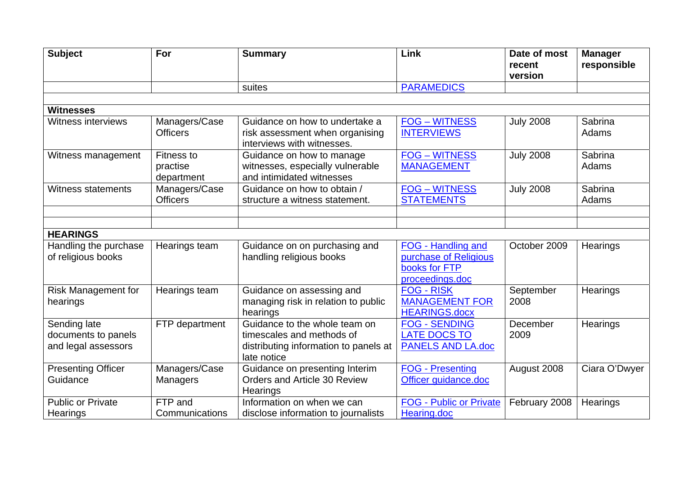| <b>Subject</b>                                             | For                                  | <b>Summary</b>                                                                                                     | Link                                                                            | Date of most<br>recent | <b>Manager</b><br>responsible |
|------------------------------------------------------------|--------------------------------------|--------------------------------------------------------------------------------------------------------------------|---------------------------------------------------------------------------------|------------------------|-------------------------------|
|                                                            |                                      | suites                                                                                                             | <b>PARAMEDICS</b>                                                               | version                |                               |
|                                                            |                                      |                                                                                                                    |                                                                                 |                        |                               |
| <b>Witnesses</b>                                           |                                      |                                                                                                                    |                                                                                 |                        |                               |
| Witness interviews                                         | Managers/Case<br><b>Officers</b>     | Guidance on how to undertake a<br>risk assessment when organising<br>interviews with witnesses.                    | <b>FOG - WITNESS</b><br><b>INTERVIEWS</b>                                       | <b>July 2008</b>       | Sabrina<br>Adams              |
| Witness management                                         | Fitness to<br>practise<br>department | Guidance on how to manage<br>witnesses, especially vulnerable<br>and intimidated witnesses                         | <b>FOG-WITNESS</b><br><b>MANAGEMENT</b>                                         | <b>July 2008</b>       | Sabrina<br>Adams              |
| <b>Witness statements</b>                                  | Managers/Case<br><b>Officers</b>     | Guidance on how to obtain /<br>structure a witness statement.                                                      | <b>FOG-WITNESS</b><br><b>STATEMENTS</b>                                         | <b>July 2008</b>       | Sabrina<br>Adams              |
|                                                            |                                      |                                                                                                                    |                                                                                 |                        |                               |
| <b>HEARINGS</b>                                            |                                      |                                                                                                                    |                                                                                 |                        |                               |
| Handling the purchase<br>of religious books                | Hearings team                        | Guidance on on purchasing and<br>handling religious books                                                          | FOG - Handling and<br>purchase of Religious<br>books for FTP<br>proceedings.doc | October 2009           | Hearings                      |
| <b>Risk Management for</b><br>hearings                     | Hearings team                        | Guidance on assessing and<br>managing risk in relation to public<br>hearings                                       | <b>FOG - RISK</b><br><b>MANAGEMENT FOR</b><br><b>HEARINGS.docx</b>              | September<br>2008      | Hearings                      |
| Sending late<br>documents to panels<br>and legal assessors | FTP department                       | Guidance to the whole team on<br>timescales and methods of<br>distributing information to panels at<br>late notice | <b>FOG - SENDING</b><br><b>LATE DOCS TO</b><br><b>PANELS AND LA.doc</b>         | December<br>2009       | Hearings                      |
| <b>Presenting Officer</b><br>Guidance                      | Managers/Case<br><b>Managers</b>     | Guidance on presenting Interim<br>Orders and Article 30 Review<br><b>Hearings</b>                                  | <b>FOG - Presenting</b><br>Officer guidance.doc                                 | August 2008            | Ciara O'Dwyer                 |
| <b>Public or Private</b><br>Hearings                       | FTP and<br>Communications            | Information on when we can<br>disclose information to journalists                                                  | <b>FOG - Public or Private</b><br>Hearing.doc                                   | February 2008          | Hearings                      |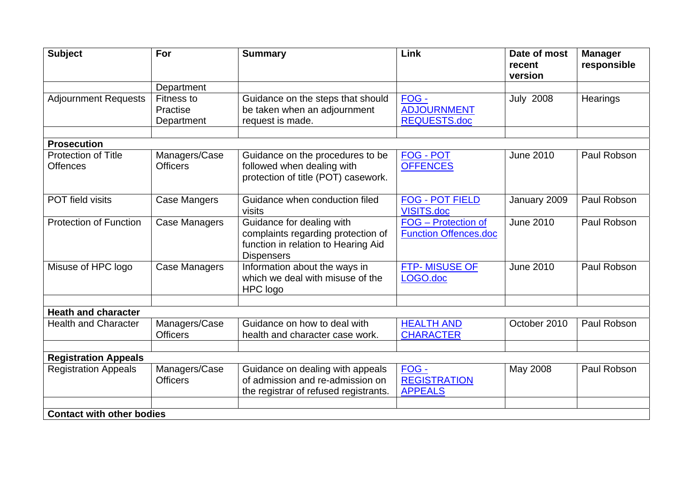| <b>Subject</b>                                | For                                                                                                          | <b>Summary</b>                                                                                                              | Link                                                                       | Date of most<br>recent<br>version | <b>Manager</b><br>responsible |
|-----------------------------------------------|--------------------------------------------------------------------------------------------------------------|-----------------------------------------------------------------------------------------------------------------------------|----------------------------------------------------------------------------|-----------------------------------|-------------------------------|
|                                               | Department                                                                                                   |                                                                                                                             |                                                                            |                                   |                               |
| <b>Adjournment Requests</b>                   | <b>Fitness to</b><br>Practise<br>Department                                                                  | Guidance on the steps that should<br>be taken when an adjournment<br>request is made.                                       | FOG -<br><b>ADJOURNMENT</b><br><b>REQUESTS.doc</b>                         | <b>July 2008</b>                  | Hearings                      |
|                                               |                                                                                                              |                                                                                                                             |                                                                            |                                   |                               |
| <b>Prosecution</b>                            |                                                                                                              |                                                                                                                             |                                                                            |                                   |                               |
| <b>Protection of Title</b><br><b>Offences</b> | Managers/Case<br><b>Officers</b>                                                                             | Guidance on the procedures to be<br>followed when dealing with<br>protection of title (POT) casework.                       | <b>FOG - POT</b><br><b>OFFENCES</b>                                        | <b>June 2010</b>                  | Paul Robson                   |
| POT field visits                              | Case Mangers                                                                                                 | Guidance when conduction filed<br>visits                                                                                    | <b>FOG - POT FIELD</b><br>Paul Robson<br>January 2009<br><b>VISITS.doc</b> |                                   |                               |
| <b>Protection of Function</b>                 | <b>Case Managers</b>                                                                                         | Guidance for dealing with<br>complaints regarding protection of<br>function in relation to Hearing Aid<br><b>Dispensers</b> | FOG - Protection of<br><b>Function Offences.doc</b>                        | <b>June 2010</b>                  | Paul Robson                   |
| Misuse of HPC logo                            | Information about the ways in<br><b>Case Managers</b><br>which we deal with misuse of the<br><b>HPC logo</b> |                                                                                                                             | <b>FTP-MISUSE OF</b><br>LOGO.doc                                           | <b>June 2010</b>                  | Paul Robson                   |
| <b>Heath and character</b>                    |                                                                                                              |                                                                                                                             |                                                                            |                                   |                               |
| <b>Health and Character</b>                   | Managers/Case<br><b>Officers</b>                                                                             | Guidance on how to deal with<br>health and character case work.                                                             | <b>HEALTH AND</b><br><b>CHARACTER</b>                                      | October 2010                      | Paul Robson                   |
| <b>Registration Appeals</b>                   |                                                                                                              |                                                                                                                             |                                                                            |                                   |                               |
| <b>Registration Appeals</b>                   | Managers/Case<br><b>Officers</b>                                                                             | Guidance on dealing with appeals<br>of admission and re-admission on<br>the registrar of refused registrants.               | FOG-<br><b>REGISTRATION</b><br><b>APPEALS</b>                              | May 2008                          | Paul Robson                   |
| <b>Contact with other bodies</b>              |                                                                                                              |                                                                                                                             |                                                                            |                                   |                               |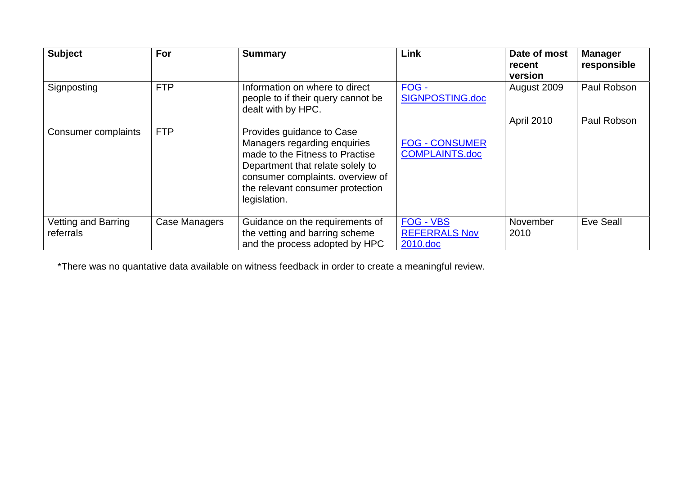| <b>Subject</b>                   | For           | <b>Summary</b>                                                                                                                                                                                                           | Link                                                 | Date of most<br>recent<br>version | <b>Manager</b><br>responsible |
|----------------------------------|---------------|--------------------------------------------------------------------------------------------------------------------------------------------------------------------------------------------------------------------------|------------------------------------------------------|-----------------------------------|-------------------------------|
| Signposting                      | <b>FTP</b>    | Information on where to direct<br>people to if their query cannot be<br>dealt with by HPC.                                                                                                                               | FOG -<br>SIGNPOSTING.doc                             | August 2009                       | Paul Robson                   |
| Consumer complaints              | <b>FTP</b>    | Provides guidance to Case<br>Managers regarding enquiries<br>made to the Fitness to Practise<br>Department that relate solely to<br>consumer complaints. overview of<br>the relevant consumer protection<br>legislation. | <b>FOG - CONSUMER</b><br><b>COMPLAINTS.doc</b>       | April 2010                        | Paul Robson                   |
| Vetting and Barring<br>referrals | Case Managers | Guidance on the requirements of<br>the vetting and barring scheme<br>and the process adopted by HPC                                                                                                                      | <b>FOG - VBS</b><br><b>REFERRALS Nov</b><br>2010.doc | November<br>2010                  | Eve Seall                     |

\*There was no quantative data available on witness feedback in order to create a meaningful review.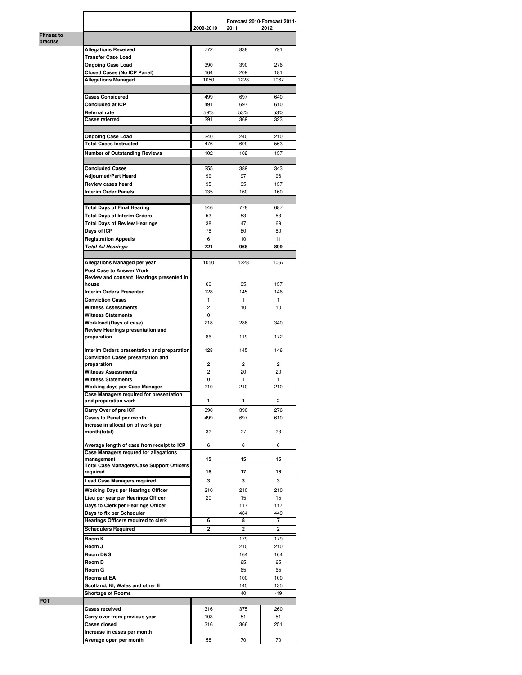|                               |                                                                  | 2009-2010      | Forecast 2010 Forecast 2011-<br>2011 | 2012           |
|-------------------------------|------------------------------------------------------------------|----------------|--------------------------------------|----------------|
| <b>Fitness to</b><br>practise |                                                                  |                |                                      |                |
|                               | <b>Allegations Received</b>                                      | 772            | 838                                  | 791            |
|                               | <b>Transfer Case Load</b>                                        |                |                                      |                |
|                               | <b>Ongoing Case Load</b>                                         | 390            | 390                                  | 276            |
|                               | <b>Closed Cases (No ICP Panel)</b><br><b>Allegations Managed</b> | 164<br>1050    | 209<br>1228                          | 181<br>1067    |
|                               |                                                                  |                |                                      |                |
|                               | <b>Cases Considered</b>                                          | 499            | 697                                  | 640            |
|                               | Concluded at ICP                                                 | 491            | 697                                  | 610            |
|                               | Referral rate                                                    | 59%            | 53%                                  | 53%            |
|                               | Cases referred                                                   | 291            | 369                                  | 323            |
|                               |                                                                  |                |                                      |                |
|                               | <b>Ongoing Case Load</b>                                         | 240            | 240                                  | 210            |
|                               | <b>Total Cases Instructed</b>                                    | 476            | 609                                  | 563            |
|                               | <b>Number of Outstanding Reviews</b>                             | 102            | 102                                  | 137            |
|                               | <b>Concluded Cases</b>                                           | 255            | 389                                  | 343            |
|                               | Adjourned/Part Heard                                             | 99             | 97                                   | 96             |
|                               | Review cases heard                                               | 95             | 95                                   | 137            |
|                               | <b>Interim Order Panels</b>                                      | 135            | 160                                  | 160            |
|                               |                                                                  |                |                                      |                |
|                               | <b>Total Days of Final Hearing</b>                               | 546            | 778                                  | 687            |
|                               | <b>Total Days of Interim Orders</b>                              | 53             | 53                                   | 53             |
|                               | <b>Total Days of Review Hearings</b>                             | 38             | 47                                   | 69             |
|                               | Days of ICP                                                      | 78             | 80                                   | 80             |
|                               | <b>Registration Appeals</b>                                      | 6              | 10                                   | 11             |
|                               | <b>Total All Hearings</b>                                        | 721            | 968                                  | 899            |
|                               | Allegations Managed per year                                     | 1050           | 1228                                 | 1067           |
|                               | <b>Post Case to Answer Work</b>                                  |                |                                      |                |
|                               | Review and consent Hearings presented In                         |                |                                      |                |
|                               | house                                                            | 69             | 95                                   | 137            |
|                               | <b>Interim Orders Presented</b>                                  | 128            | 145                                  | 146            |
|                               | <b>Conviction Cases</b>                                          | $\mathbf{1}$   | $\mathbf{1}$                         | $\mathbf{1}$   |
|                               | <b>Witness Assessments</b>                                       | $\overline{2}$ | 10 <sup>10</sup>                     | 10             |
|                               | <b>Witness Statements</b><br>Workload (Days of case)             | 0<br>218       | 286                                  | 340            |
|                               | Review Hearings presentation and                                 |                |                                      |                |
|                               | preparation                                                      | 86             | 119                                  | 172            |
|                               |                                                                  |                |                                      |                |
|                               | Interim Orders presentation and preparation                      | 128            | 145                                  | 146            |
|                               | <b>Conviction Cases presentation and</b><br>preparation          | 2              | $\overline{2}$                       | $\overline{2}$ |
|                               | <b>Witness Assessments</b>                                       | 2              | 20                                   | 20             |
|                               | <b>Witness Statements</b>                                        | 0              | 1                                    | $\mathbf{1}$   |
|                               | Working days per Case Manager                                    | 210            | 210                                  | 210            |
|                               | Case Managers required for presentation                          |                |                                      |                |
|                               | and preparation work                                             | 1              | 1                                    | 2              |
|                               | Carry Over of pre ICP                                            | 390            | 390                                  | 276            |
|                               | Cases to Panel per month<br>Increse in allocation of work per    | 499            | 697                                  | 610            |
|                               | month(total)                                                     | 32             | 27                                   | 23             |
|                               |                                                                  |                |                                      |                |
|                               | Average length of case from receipt to ICP                       | 6              | 6                                    | 6              |
|                               | Case Managers requred for allegations<br>management              | 15             | 15                                   | 15             |
|                               | <b>Total Case Managers/Case Support Officers</b>                 |                |                                      |                |
|                               | required                                                         | 16             | 17                                   | 16             |
|                               | <b>Lead Case Managers required</b>                               | 3              | 3                                    | 3              |
|                               | Working Days per Hearings Officer                                | 210            | 210                                  | 210            |
|                               | Lieu per year per Hearings Officer                               | 20             | 15                                   | 15             |
|                               | Days to Clerk per Hearings Officer                               |                | 117<br>484                           | 117<br>449     |
|                               | Days to fix per Scheduler<br>Hearings Officers required to clerk | 6              | 8                                    | 7              |
|                               | <b>Schedulers Required</b>                                       | $\mathbf{2}$   | $\overline{\mathbf{2}}$              | $\overline{a}$ |
|                               | Room K                                                           |                | 179                                  | 179            |
|                               | Room J                                                           |                | 210                                  | 210            |
|                               | Room D&G                                                         |                | 164                                  | 164            |
|                               | Room D                                                           |                | 65                                   | 65             |
|                               | Room G                                                           |                | 65                                   | 65             |
|                               | Rooms at EA                                                      |                | 100                                  | 100            |
|                               | Scotland, NI, Wales and other E                                  |                | 145                                  | 135            |
|                               | <b>Shortage of Rooms</b>                                         |                | 40                                   | $-19$          |
| <b>POT</b>                    |                                                                  |                |                                      |                |
|                               | <b>Cases received</b>                                            | 316            | 375                                  | 260            |
|                               | Carry over from previous year<br>Cases closed                    | 103<br>316     | 51<br>366                            | 51<br>251      |
|                               | Increase in cases per month                                      |                |                                      |                |
|                               | Average open per month                                           | 58             | 70                                   | 70             |
|                               |                                                                  |                |                                      |                |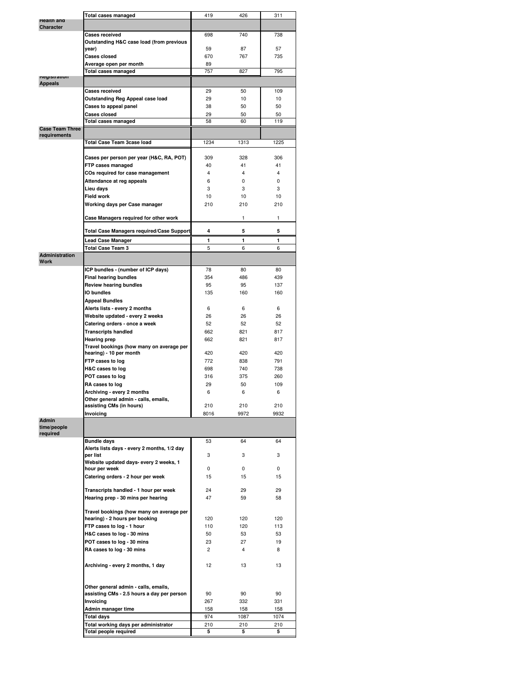|                        | Total cases managed                                                        | 419            | 426            | 311              |
|------------------------|----------------------------------------------------------------------------|----------------|----------------|------------------|
| <b>Health and</b>      |                                                                            |                |                |                  |
| <b>Character</b>       |                                                                            |                |                |                  |
|                        | <b>Cases received</b>                                                      | 698            | 740            | 738              |
|                        | Outstanding H&C case load (from previous                                   |                |                |                  |
|                        | year)                                                                      | 59             | 87             | 57               |
|                        | Cases closed                                                               | 670            | 767            | 735              |
|                        | Average open per month                                                     | 89             |                |                  |
|                        | <b>Total cases managed</b>                                                 | 757            | 827            | 795              |
| negistration           |                                                                            |                |                |                  |
| <b>Appeals</b>         |                                                                            |                |                |                  |
|                        | <b>Cases received</b>                                                      | 29             | 50             | 109              |
|                        | Outstanding Reg Appeal case load                                           | 29             | 10             | 10 <sup>10</sup> |
|                        | Cases to appeal panel                                                      | 38             | 50             | 50               |
|                        | <b>Cases closed</b>                                                        | 29             | 50             | 50               |
|                        | <b>Total cases managed</b>                                                 | 58             | 60             | 119              |
| <b>Case Team Three</b> |                                                                            |                |                |                  |
| requirements           |                                                                            |                |                |                  |
|                        | <b>Total Case Team 3case load</b>                                          | 1234           | 1313           | 1225             |
|                        |                                                                            |                |                |                  |
|                        | Cases per person per year (H&C, RA, POT)                                   | 309            | 328            | 306              |
|                        | FTP cases managed                                                          | 40             | 41             | 41               |
|                        |                                                                            | 4              | $\overline{4}$ | 4                |
|                        | COs required for case management                                           |                |                |                  |
|                        | Attendance at reg appeals                                                  | 6              | 0              | 0                |
|                        | Lieu days                                                                  | 3              | 3              | 3                |
|                        | <b>Field work</b>                                                          | 10             | 10             | 10               |
|                        | Working days per Case manager                                              | 210            | 210            | 210              |
|                        |                                                                            |                |                |                  |
|                        | Case Managers required for other work                                      |                | 1              | 1                |
|                        |                                                                            | 4              |                |                  |
|                        | <b>Total Case Managers required/Case Support</b>                           |                | 5              | 5                |
|                        | <b>Lead Case Manager</b>                                                   | 1              | 1              | 1                |
|                        | <b>Total Case Team 3</b>                                                   | 5              | 6              | 6                |
| <b>Administration</b>  |                                                                            |                |                |                  |
| <b>Work</b>            |                                                                            |                |                |                  |
|                        | ICP bundles - (number of ICP days)                                         | 78             | 80             | 80               |
|                        | <b>Final hearing bundles</b>                                               | 354            | 486            | 439              |
|                        | <b>Review hearing bundles</b>                                              | 95             | 95             | 137              |
|                        | IO bundles                                                                 | 135            | 160            | 160              |
|                        | <b>Appeal Bundles</b>                                                      |                |                |                  |
|                        | Alerts lists - every 2 months                                              | 6              | 6              | 6                |
|                        | Website updated - every 2 weeks                                            | 26             | 26             | 26               |
|                        | Catering orders - once a week                                              | 52             | 52             | 52               |
|                        |                                                                            | 662            | 821            | 817              |
|                        | <b>Transcripts handled</b>                                                 |                |                |                  |
|                        | <b>Hearing prep</b>                                                        | 662            | 821            | 817              |
|                        | Travel bookings (how many on average per                                   |                |                |                  |
|                        | hearing) - 10 per month                                                    | 420            | 420            | 420              |
|                        | FTP cases to log                                                           | 772            | 838            | 791              |
|                        | H&C cases to log                                                           | 698            | 740            | 738              |
|                        | POT cases to log                                                           | 316            | 375            | 260              |
|                        | RA cases to log                                                            | 29             | 50             | 109              |
|                        | Archiving - every 2 months                                                 | 6              | 6              | 6                |
|                        | Other general admin - calls, emails,                                       |                |                |                  |
|                        | assisting CMs (in hours)                                                   | 210            | 210            | 210              |
|                        | Invoicing                                                                  | 8016           | 9972           | 9932             |
| Admin                  |                                                                            |                |                |                  |
| time/people            |                                                                            |                |                |                  |
| required               |                                                                            |                |                |                  |
|                        | <b>Bundle days</b>                                                         | 53             | 64             | 64               |
|                        | Alerts lists days - every 2 months, 1/2 day                                |                |                |                  |
|                        | per list                                                                   | 3              | 3              | 3                |
|                        | Website updated days- every 2 weeks, 1                                     | 0              | 0              | 0                |
|                        | hour per week                                                              |                |                |                  |
|                        | Catering orders - 2 hour per week                                          | 15             | 15             | 15               |
|                        | Transcripts handled - 1 hour per week                                      |                | 29             | 29               |
|                        |                                                                            | 24             |                |                  |
|                        | Hearing prep - 30 mins per hearing                                         | 47             | 59             | 58               |
|                        |                                                                            |                |                |                  |
|                        | Travel bookings (how many on average per<br>hearing) - 2 hours per booking | 120            | 120            | 120              |
|                        |                                                                            |                |                |                  |
|                        | FTP cases to log - 1 hour                                                  | 110            | 120            | 113              |
|                        | H&C cases to log - 30 mins                                                 | 50             | 53             | 53               |
|                        | POT cases to log - 30 mins                                                 | 23             | 27             | 19               |
|                        | RA cases to log - 30 mins                                                  | $\overline{2}$ | $\overline{4}$ | 8                |
|                        |                                                                            |                |                |                  |
|                        | Archiving - every 2 months, 1 day                                          | 12             | 13             | 13               |
|                        |                                                                            |                |                |                  |
|                        |                                                                            |                |                |                  |
|                        | Other general admin - calls, emails,                                       |                |                |                  |
|                        | assisting CMs - 2.5 hours a day per person                                 | 90             | 90             | 90               |
|                        | Invoicing                                                                  | 267            | 332            | 331              |
|                        | Admin manager time                                                         | 158            | 158            | 158              |
|                        | <b>Total days</b>                                                          | 974            | 1087           | 1074             |
|                        | Total working days per administrator                                       | 210            | 210            | 210              |
|                        | Total people required                                                      | 5              | 5              | 5                |
|                        |                                                                            |                |                |                  |